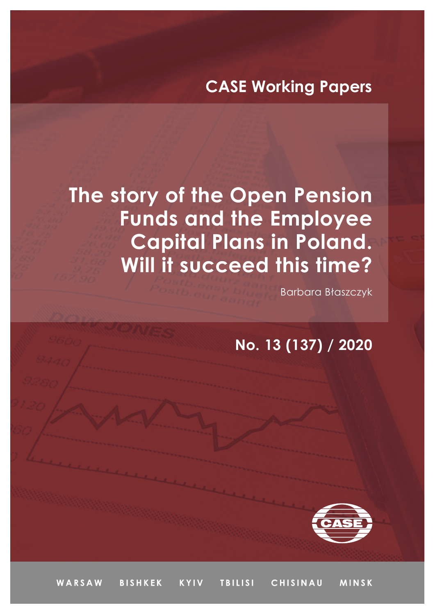## **CASE Working Papers**

# **The story of the Open Pension Funds and the Employee Capital Plans in Poland. Will it succeed this time?**

Barbara Błaszczyk

### **No. 13 (137) / 2020**



WARSAW **BISHKEK KYIV TBILISI** CHISINAU **MINSK**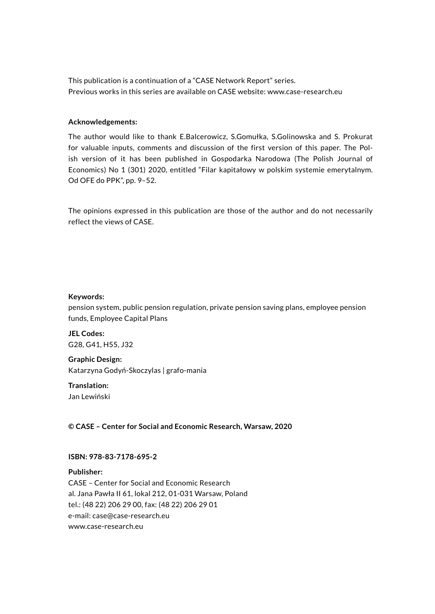This publication is a continuation of a "CASE Network Report" series. Previous works in this series are available on CASE website: [www.case-research.eu](http://www.case-research.eu)

#### **Acknowledgements:**

The author would like to thank E.Balcerowicz, S.Gomułka, S.Golinowska and S. Prokurat for valuable inputs, comments and discussion of the first version of this paper. The Polish version of it has been published in Gospodarka Narodowa (The Polish Journal of Economics) No 1 (301) 2020, entitled "Filar kapitałowy w polskim systemie emerytalnym. Od OFE do PPK", pp. 9–52.

The opinions expressed in this publication are those of the author and do not necessarily reflect the views of CASE.

#### **Keywords:**

pension system, public pension regulation, private pension saving plans, employee pension funds, Employee Capital Plans

**JEL Codes:** G28, G41, H55, J32

**Graphic Design:** Katarzyna Godyń-Skoczylas | grafo-mania

**Translation:** Jan Lewiński

**© CASE – Center for Social and Economic Research, Warsaw, 2020**

#### **ISBN: 978-83-7178-695-2**

**Publisher:** CASE – Center for Social and Economic Research al. Jana Pawła II 61, lokal 212, 01-031 Warsaw, Poland tel.: (48 22) 206 29 00, fax: (48 22) 206 29 01 e-mail: case[@case-research.eu](http://case-research.eu) [www.case-research.eu](http://www.case-research.eu)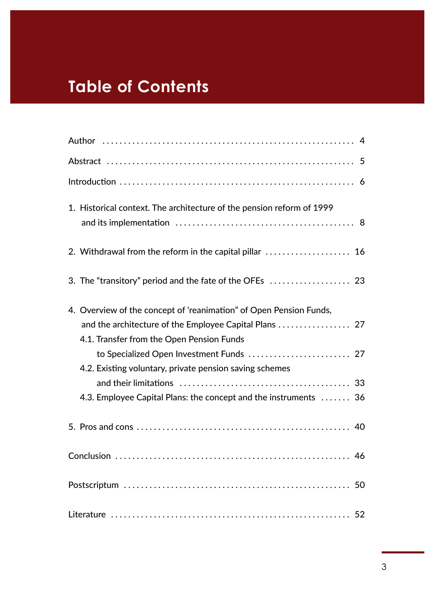## **Table of Contents**

| 1. Historical context. The architecture of the pension reform of 1999                                                                                                                                                                                                                            |
|--------------------------------------------------------------------------------------------------------------------------------------------------------------------------------------------------------------------------------------------------------------------------------------------------|
| 2. Withdrawal from the reform in the capital pillar  16                                                                                                                                                                                                                                          |
|                                                                                                                                                                                                                                                                                                  |
| 4. Overview of the concept of 'reanimation" of Open Pension Funds,<br>4.1. Transfer from the Open Pension Funds<br>to Specialized Open Investment Funds  27<br>4.2. Existing voluntary, private pension saving schemes<br>33<br>4.3. Employee Capital Plans: the concept and the instruments  36 |
|                                                                                                                                                                                                                                                                                                  |
|                                                                                                                                                                                                                                                                                                  |
| 50                                                                                                                                                                                                                                                                                               |
|                                                                                                                                                                                                                                                                                                  |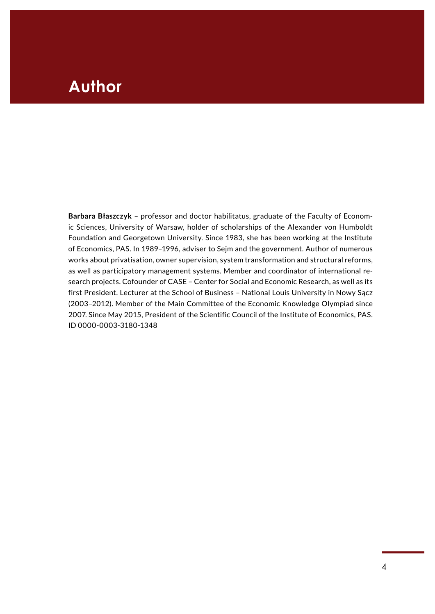### <span id="page-3-0"></span>**Author** Paper **Paper**

**Barbara Błaszczyk** – professor and doctor habilitatus, graduate of the Faculty of Economic Sciences, University of Warsaw, holder of scholarships of the Alexander von Humboldt Foundation and Georgetown University. Since 1983, she has been working at the Institute of Economics, PAS. In 1989–1996, adviser to Sejm and the government. Author of numerous works about privatisation, owner supervision, system transformation and structural reforms, as well as participatory management systems. Member and coordinator of international research projects. Cofounder of CASE – Center for Social and Economic Research, as well as its first President. Lecturer at the School of Business – National Louis University in Nowy Sącz (2003–2012). Member of the Main Committee of the Economic Knowledge Olympiad since 2007. Since May 2015, President of the Scientific Council of the Institute of Economics, PAS. ID 0000-0003-3180-1348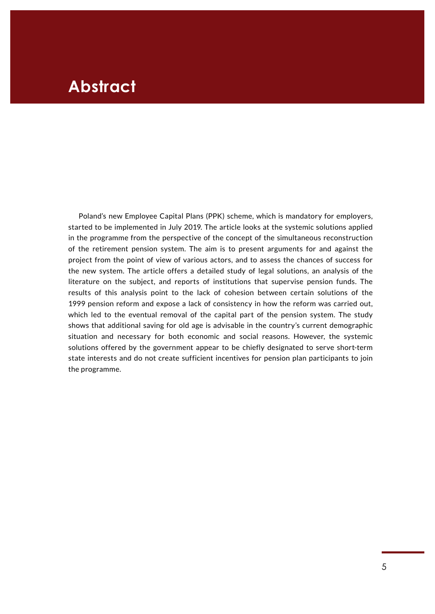### <span id="page-4-0"></span>**Abstract**

Poland's new Employee Capital Plans (PPK) scheme, which is mandatory for employers, started to be implemented in July 2019. The article looks at the systemic solutions applied in the programme from the perspective of the concept of the simultaneous reconstruction of the retirement pension system. The aim is to present arguments for and against the project from the point of view of various actors, and to assess the chances of success for the new system. The article offers a detailed study of legal solutions, an analysis of the literature on the subject, and reports of institutions that supervise pension funds. The results of this analysis point to the lack of cohesion between certain solutions of the 1999 pension reform and expose a lack of consistency in how the reform was carried out, which led to the eventual removal of the capital part of the pension system. The study shows that additional saving for old age is advisable in the country's current demographic situation and necessary for both economic and social reasons. However, the systemic solutions offered by the government appear to be chiefly designated to serve short-term state interests and do not create sufficient incentives for pension plan participants to join the programme.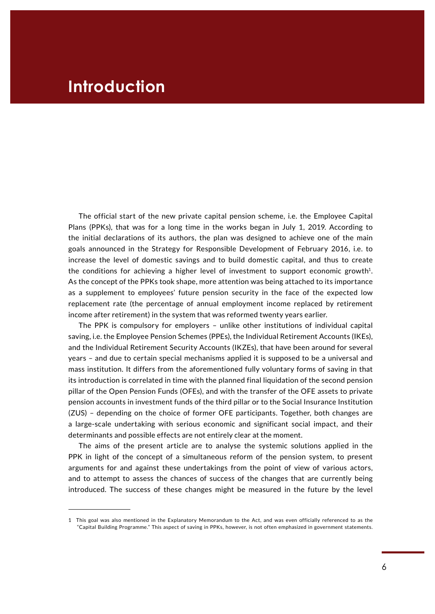### <span id="page-5-0"></span>**Introduction**

The official start of the new private capital pension scheme, i.e. the Employee Capital Plans (PPKs), that was for a long time in the works began in July 1, 2019. According to the initial declarations of its authors, the plan was designed to achieve one of the main goals announced in the Strategy for Responsible Development of February 2016, i.e. to increase the level of domestic savings and to build domestic capital, and thus to create the conditions for achieving a higher level of investment to support economic growth<sup>1</sup>. As the concept of the PPKs took shape, more attention was being attached to its importance as a supplement to employees' future pension security in the face of the expected low replacement rate (the percentage of annual employment income replaced by retirement income after retirement) in the system that was reformed twenty years earlier.

The PPK is compulsory for employers – unlike other institutions of individual capital saving, i.e. the Employee Pension Schemes (PPEs), the Individual Retirement Accounts (IKEs), and the Individual Retirement Security Accounts (IKZEs), that have been around for several years – and due to certain special mechanisms applied it is supposed to be a universal and mass institution. It differs from the aforementioned fully voluntary forms of saving in that its introduction is correlated in time with the planned final liquidation of the second pension pillar of the Open Pension Funds (OFEs), and with the transfer of the OFE assets to private pension accounts in investment funds of the third pillar or to the Social Insurance Institution (ZUS) – depending on the choice of former OFE participants. Together, both changes are a large-scale undertaking with serious economic and significant social impact, and their determinants and possible effects are not entirely clear at the moment.

The aims of the present article are to analyse the systemic solutions applied in the PPK in light of the concept of a simultaneous reform of the pension system, to present arguments for and against these undertakings from the point of view of various actors, and to attempt to assess the chances of success of the changes that are currently being introduced. The success of these changes might be measured in the future by the level

<sup>1</sup> This goal was also mentioned in the Explanatory Memorandum to the Act, and was even officially referenced to as the "Capital Building Programme." This aspect of saving in PPKs, however, is not often emphasized in government statements.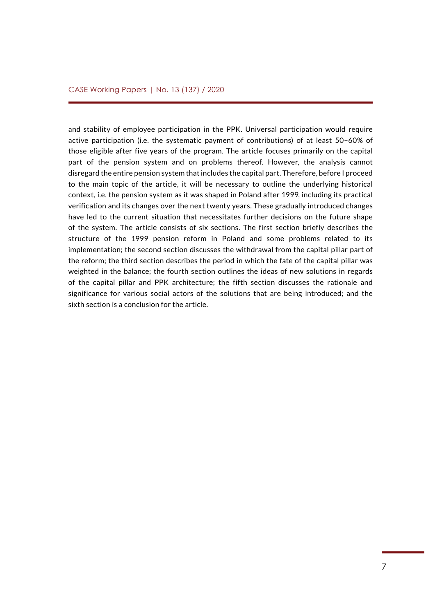and stability of employee participation in the PPK. Universal participation would require active participation (i.e. the systematic payment of contributions) of at least 50–60% of those eligible after five years of the program. The article focuses primarily on the capital part of the pension system and on problems thereof. However, the analysis cannot disregard the entire pension system that includes the capital part. Therefore, before I proceed to the main topic of the article, it will be necessary to outline the underlying historical context, i.e. the pension system as it was shaped in Poland after 1999, including its practical verification and its changes over the next twenty years. These gradually introduced changes have led to the current situation that necessitates further decisions on the future shape of the system. The article consists of six sections. The first section briefly describes the structure of the 1999 pension reform in Poland and some problems related to its implementation; the second section discusses the withdrawal from the capital pillar part of the reform; the third section describes the period in which the fate of the capital pillar was weighted in the balance; the fourth section outlines the ideas of new solutions in regards of the capital pillar and PPK architecture; the fifth section discusses the rationale and significance for various social actors of the solutions that are being introduced; and the sixth section is a conclusion for the article.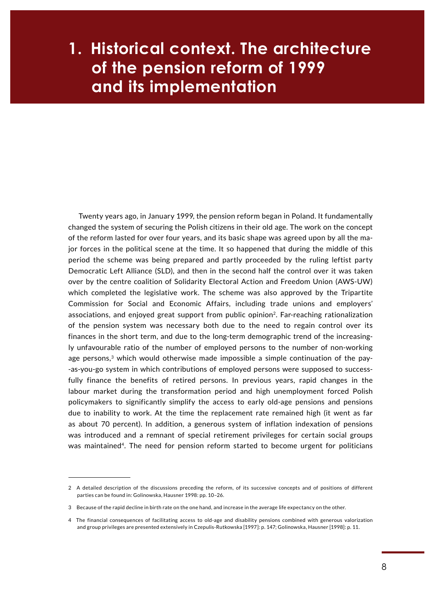## <span id="page-7-0"></span> $\blacksquare$  and its implementation **1. Historical context. The architecture of the pension reform of 1999**

Twenty years ago, in January 1999, the pension reform began in Poland. It fundamentally changed the system of securing the Polish citizens in their old age. The work on the concept of the reform lasted for over four years, and its basic shape was agreed upon by all the major forces in the political scene at the time. It so happened that during the middle of this period the scheme was being prepared and partly proceeded by the ruling leftist party Democratic Left Alliance (SLD), and then in the second half the control over it was taken over by the centre coalition of Solidarity Electoral Action and Freedom Union (AWS-UW) which completed the legislative work. The scheme was also approved by the Tripartite Commission for Social and Economic Affairs, including trade unions and employers' associations, and enjoyed great support from public opinion2. Far-reaching rationalization of the pension system was necessary both due to the need to regain control over its finances in the short term, and due to the long-term demographic trend of the increasingly unfavourable ratio of the number of employed persons to the number of non-working age persons, $3$  which would otherwise made impossible a simple continuation of the pay--as-you-go system in which contributions of employed persons were supposed to successfully finance the benefits of retired persons. In previous years, rapid changes in the labour market during the transformation period and high unemployment forced Polish policymakers to significantly simplify the access to early old-age pensions and pensions due to inability to work. At the time the replacement rate remained high (it went as far as about 70 percent). In addition, a generous system of inflation indexation of pensions was introduced and a remnant of special retirement privileges for certain social groups was maintained<sup>4</sup>. The need for pension reform started to become urgent for politicians

<sup>2</sup> A detailed description of the discussions preceding the reform, of its successive concepts and of positions of different parties can be found in: Golinowska, Hausner 1998: pp. 10–26.

<sup>3</sup> Because of the rapid decline in birth rate on the one hand, and increase in the average life expectancy on the other.

<sup>4</sup> The financial consequences of facilitating access to old-age and disability pensions combined with generous valorization and group privileges are presented extensively in Czepulis-Rutkowska [1997]: p. 147; Golinowska, Hausner [1998]: p. 11.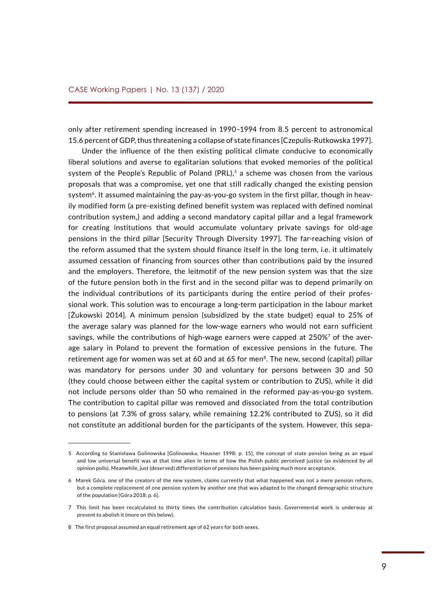only after retirement spending increased in 1990–1994 from 8.5 percent to astronomical 15.6 percent of GDP, thus threatening a collapse of state finances [Czepulis-Rutkowska 1997].

 Under the influence of the then existing political climate conducive to economically liberal solutions and averse to egalitarian solutions that evoked memories of the political system of the People's Republic of Poland  $(PRL)$ , a scheme was chosen from the various proposals that was a compromise, yet one that still radically changed the existing pension system<sup>6</sup>. It assumed maintaining the pay-as-you-go system in the first pillar, though in heavily modified form (a pre-existing defined benefit system was replaced with defined nominal contribution system,) and adding a second mandatory capital pillar and a legal framework for creating institutions that would accumulate voluntary private savings for old-age pensions in the third pillar [Security Through Diversity 1997]. The far-reaching vision of the reform assumed that the system should finance itself in the long term, i.e. it ultimately assumed cessation of financing from sources other than contributions paid by the insured and the employers. Therefore, the leitmotif of the new pension system was that the size of the future pension both in the first and in the second pillar was to depend primarily on the individual contributions of its participants during the entire period of their professional work. This solution was to encourage a long-term participation in the labour market [Żukowski 2014]. A minimum pension (subsidized by the state budget) equal to 25% of the average salary was planned for the low-wage earners who would not earn sufficient savings, while the contributions of high-wage earners were capped at  $250\%$ <sup>7</sup> of the average salary in Poland to prevent the formation of excessive pensions in the future. The retirement age for women was set at 60 and at 65 for men $^8$ . The new, second (capital) pillar was mandatory for persons under 30 and voluntary for persons between 30 and 50 (they could choose between either the capital system or contribution to ZUS), while it did not include persons older than 50 who remained in the reformed pay-as-you-go system. The contribution to capital pillar was removed and dissociated from the total contribution to pensions (at 7.3% of gross salary, while remaining 12.2% contributed to ZUS), so it did not constitute an additional burden for the participants of the system. However, this sepa-

<sup>5</sup> According to Stanisława Golinowska [Golinowska, Hausner 1998: p. 15], the concept of state pension being as an equal and low universal benefit was at that time alien in terms of how the Polish public perceived justice (as evidenced by all opinion polls). Meanwhile, just (deserved) differentiation of pensions has been gaining much more acceptance.

<sup>6</sup> Marek Góra, one of the creators of the new system, claims currently that what happened was not a mere pension reform, but a complete replacement of one pension system by another one that was adapted to the changed demographic structure of the population [Góra 2018: p. 6].

<sup>7</sup> This limit has been recalculated to thirty times the contribution calculation basis. Governmental work is underway at present to abolish it (more on this below).

<sup>8</sup> The first proposal assumed an equal retirement age of 62 years for both sexes.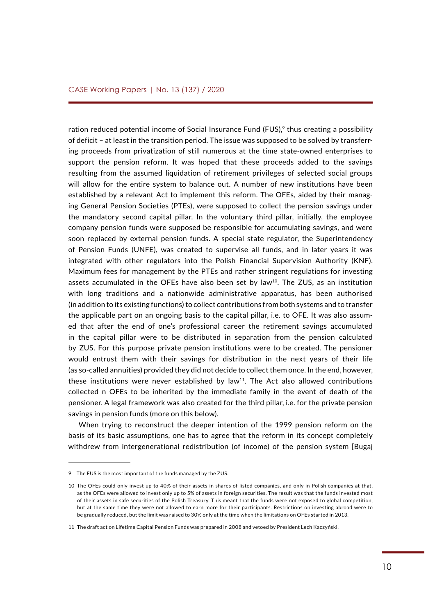ration reduced potential income of Social Insurance Fund (FUS), $9$  thus creating a possibility of deficit – at least in the transition period. The issue was supposed to be solved by transferring proceeds from privatization of still numerous at the time state-owned enterprises to support the pension reform. It was hoped that these proceeds added to the savings resulting from the assumed liquidation of retirement privileges of selected social groups will allow for the entire system to balance out. A number of new institutions have been established by a relevant Act to implement this reform. The OFEs, aided by their managing General Pension Societies (PTEs), were supposed to collect the pension savings under the mandatory second capital pillar. In the voluntary third pillar, initially, the employee company pension funds were supposed be responsible for accumulating savings, and were soon replaced by external pension funds. A special state regulator, the Superintendency of Pension Funds (UNFE), was created to supervise all funds, and in later years it was integrated with other regulators into the Polish Financial Supervision Authority (KNF). Maximum fees for management by the PTEs and rather stringent regulations for investing assets accumulated in the OFEs have also been set by law<sup>10</sup>. The ZUS, as an institution with long traditions and a nationwide administrative apparatus, has been authorised (in addition to its existing functions) to collect contributions from both systems and to transfer the applicable part on an ongoing basis to the capital pillar, i.e. to OFE. It was also assumed that after the end of one's professional career the retirement savings accumulated in the capital pillar were to be distributed in separation from the pension calculated by ZUS. For this purpose private pension institutions were to be created. The pensioner would entrust them with their savings for distribution in the next years of their life (as so-called annuities) provided they did not decide to collect them once. In the end, however, these institutions were never established by law<sup>11</sup>. The Act also allowed contributions collected n OFEs to be inherited by the immediate family in the event of death of the pensioner. A legal framework was also created for the third pillar, i.e. for the private pension savings in pension funds (more on this below).

When trying to reconstruct the deeper intention of the 1999 pension reform on the basis of its basic assumptions, one has to agree that the reform in its concept completely withdrew from intergenerational redistribution (of income) of the pension system [Bugaj

<sup>9</sup> The FUS is the most important of the funds managed by the ZUS.

<sup>10</sup> The OFEs could only invest up to 40% of their assets in shares of listed companies, and only in Polish companies at that, as the OFEs were allowed to invest only up to 5% of assets in foreign securities. The result was that the funds invested most of their assets in safe securities of the Polish Treasury. This meant that the funds were not exposed to global competition, but at the same time they were not allowed to earn more for their participants. Restrictions on investing abroad were to be gradually reduced, but the limit was raised to 30% only at the time when the limitations on OFEs started in 2013.

<sup>11</sup> The draft act on Lifetime Capital Pension Funds was prepared in 2008 and vetoed by President Lech Kaczyński.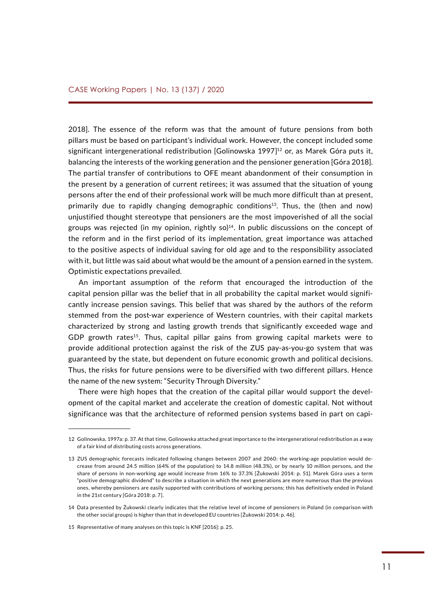2018]. The essence of the reform was that the amount of future pensions from both pillars must be based on participant's individual work. However, the concept included some significant intergenerational redistribution  $[Golinowski 1997]^{12}$  or, as Marek Góra puts it, balancing the interests of the working generation and the pensioner generation [Góra 2018]. The partial transfer of contributions to OFE meant abandonment of their consumption in the present by a generation of current retirees; it was assumed that the situation of young persons after the end of their professional work will be much more difficult than at present, primarily due to rapidly changing demographic conditions<sup>13</sup>. Thus, the (then and now) unjustified thought stereotype that pensioners are the most impoverished of all the social groups was rejected (in my opinion, rightly so)<sup>14</sup>. In public discussions on the concept of the reform and in the first period of its implementation, great importance was attached to the positive aspects of individual saving for old age and to the responsibility associated with it, but little was said about what would be the amount of a pension earned in the system. Optimistic expectations prevailed.

An important assumption of the reform that encouraged the introduction of the capital pension pillar was the belief that in all probability the capital market would significantly increase pension savings. This belief that was shared by the authors of the reform stemmed from the post-war experience of Western countries, with their capital markets characterized by strong and lasting growth trends that significantly exceeded wage and GDP growth rates<sup>15</sup>. Thus, capital pillar gains from growing capital markets were to provide additional protection against the risk of the ZUS pay-as-you-go system that was guaranteed by the state, but dependent on future economic growth and political decisions. Thus, the risks for future pensions were to be diversified with two different pillars. Hence the name of the new system: "Security Through Diversity."

There were high hopes that the creation of the capital pillar would support the development of the capital market and accelerate the creation of domestic capital. Not without significance was that the architecture of reformed pension systems based in part on capi-

<sup>12</sup> Golinowska, 1997a: p. 37. At that time, Golinowska attached great importance to the intergenerational redistribution as a way of a fair kind of distributing costs across generations.

<sup>13</sup> ZUS demographic forecasts indicated following changes between 2007 and 2060: the working-age population would decrease from around 24.5 million (64% of the population) to 14.8 million (48.3%), or by nearly 10 million persons, and the share of persons in non-working age would increase from 16% to 37.3% [Żukowski 2014: p. 51]. Marek Góra uses a term "positive demographic dividend" to describe a situation in which the next generations are more numerous than the previous ones, whereby pensioners are easily supported with contributions of working persons; this has definitively ended in Poland in the 21st century [Góra 2018: p. 7].

<sup>14</sup> Data presented by Żukowski clearly indicates that the relative level of income of pensioners in Poland (in comparison with the other social groups) is higher than that in developed EU countries [Żukowski 2014: p. 46].

<sup>15</sup> Representative of many analyses on this topic is KNF [2016]: p. 25.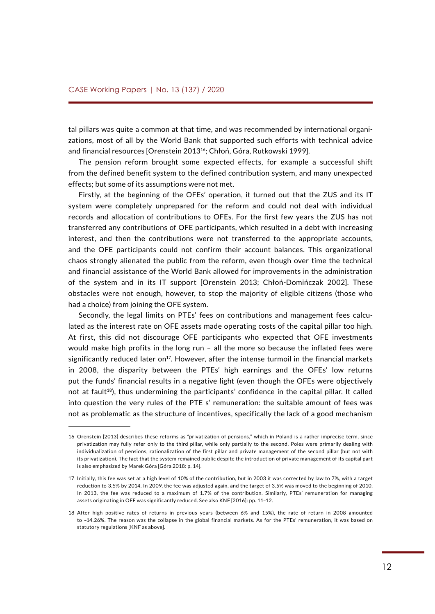tal pillars was quite a common at that time, and was recommended by international organizations, most of all by the World Bank that supported such efforts with technical advice and financial resources [Orenstein 201316; Chłoń, Góra, Rutkowski 1999].

The pension reform brought some expected effects, for example a successful shift from the defined benefit system to the defined contribution system, and many unexpected effects; but some of its assumptions were not met.

Firstly, at the beginning of the OFEs' operation, it turned out that the ZUS and its IT system were completely unprepared for the reform and could not deal with individual records and allocation of contributions to OFEs. For the first few years the ZUS has not transferred any contributions of OFE participants, which resulted in a debt with increasing interest, and then the contributions were not transferred to the appropriate accounts, and the OFE participants could not confirm their account balances. This organizational chaos strongly alienated the public from the reform, even though over time the technical and financial assistance of the World Bank allowed for improvements in the administration of the system and in its IT support [Orenstein 2013; Chłoń-Domińczak 2002]. These obstacles were not enough, however, to stop the majority of eligible citizens (those who had a choice) from joining the OFE system.

Secondly, the legal limits on PTEs' fees on contributions and management fees calculated as the interest rate on OFE assets made operating costs of the capital pillar too high. At first, this did not discourage OFE participants who expected that OFE investments would make high profits in the long run – all the more so because the inflated fees were significantly reduced later on<sup>17</sup>. However, after the intense turmoil in the financial markets in 2008, the disparity between the PTEs' high earnings and the OFEs' low returns put the funds' financial results in a negative light (even though the OFEs were objectively not at fault<sup>18</sup>), thus undermining the participants' confidence in the capital pillar. It called into question the very rules of the PTE s' remuneration: the suitable amount of fees was not as problematic as the structure of incentives, specifically the lack of a good mechanism

<sup>16</sup> Orenstein [2013] describes these reforms as "privatization of pensions," which in Poland is a rather imprecise term, since privatization may fully refer only to the third pillar, while only partially to the second. Poles were primarily dealing with individualization of pensions, rationalization of the first pillar and private management of the second pillar (but not with its privatization). The fact that the system remained public despite the introduction of private management of its capital part is also emphasized by Marek Góra [Góra 2018: p. 14].

<sup>17</sup> Initially, this fee was set at a high level of 10% of the contribution, but in 2003 it was corrected by law to 7%, with a target reduction to 3.5% by 2014. In 2009, the fee was adjusted again, and the target of 3.5% was moved to the beginning of 2010. In 2013, the fee was reduced to a maximum of 1.7% of the contribution. Similarly, PTEs' remuneration for managing assets originating in OFE was significantly reduced. See also KNF [2016]: pp. 11–12.

<sup>18</sup> After high positive rates of returns in previous years (between 6% and 15%), the rate of return in 2008 amounted to –14.26%. The reason was the collapse in the global financial markets. As for the PTEs' remuneration, it was based on statutory regulations [KNF as above].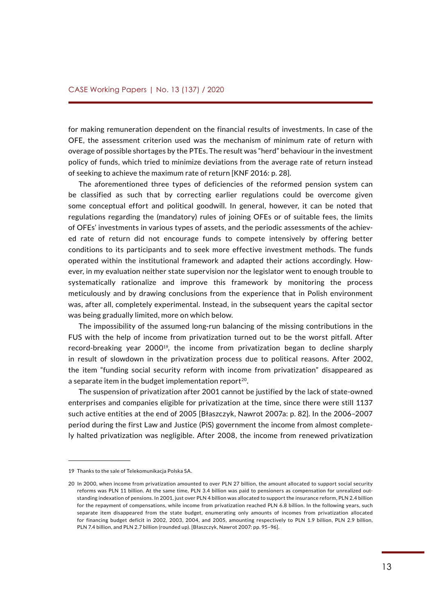for making remuneration dependent on the financial results of investments. In case of the OFE, the assessment criterion used was the mechanism of minimum rate of return with overage of possible shortages by the PTEs. The result was "herd" behaviour in the investment policy of funds, which tried to minimize deviations from the average rate of return instead of seeking to achieve the maximum rate of return [KNF 2016: p. 28].

The aforementioned three types of deficiencies of the reformed pension system can be classified as such that by correcting earlier regulations could be overcome given some conceptual effort and political goodwill. In general, however, it can be noted that regulations regarding the (mandatory) rules of joining OFEs or of suitable fees, the limits of OFEs' investments in various types of assets, and the periodic assessments of the achieved rate of return did not encourage funds to compete intensively by offering better conditions to its participants and to seek more effective investment methods. The funds operated within the institutional framework and adapted their actions accordingly. However, in my evaluation neither state supervision nor the legislator went to enough trouble to systematically rationalize and improve this framework by monitoring the process meticulously and by drawing conclusions from the experience that in Polish environment was, after all, completely experimental. Instead, in the subsequent years the capital sector was being gradually limited, more on which below.

The impossibility of the assumed long-run balancing of the missing contributions in the FUS with the help of income from privatization turned out to be the worst pitfall. After record-breaking year 2000<sup>19</sup>, the income from privatization began to decline sharply in result of slowdown in the privatization process due to political reasons. After 2002, the item "funding social security reform with income from privatization" disappeared as a separate item in the budget implementation report<sup>20</sup>.

The suspension of privatization after 2001 cannot be justified by the lack of state-owned enterprises and companies eligible for privatization at the time, since there were still 1137 such active entities at the end of 2005 [Błaszczyk, Nawrot 2007a: p. 82]. In the 2006–2007 period during the first Law and Justice (PiS) government the income from almost completely halted privatization was negligible. After 2008, the income from renewed privatization

<sup>19</sup> Thanks to the sale of Telekomunikacja Polska SA.

<sup>20</sup> In 2000, when income from privatization amounted to over PLN 27 billion, the amount allocated to support social security reforms was PLN 11 billion. At the same time, PLN 3.4 billion was paid to pensioners as compensation for unrealized outstanding indexation of pensions. In 2001, just over PLN 4 billion was allocated to support the insurance reform, PLN 2.4 billion for the repayment of compensations, while income from privatization reached PLN 6.8 billion. In the following years, such separate item disappeared from the state budget, enumerating only amounts of incomes from privatization allocated for financing budget deficit in 2002, 2003, 2004, and 2005, amounting respectively to PLN 1.9 billion, PLN 2.9 billion, PLN 7.4 billion, and PLN 2.7 billion (rounded up). [Błaszczyk, Nawrot 2007: pp. 95–96].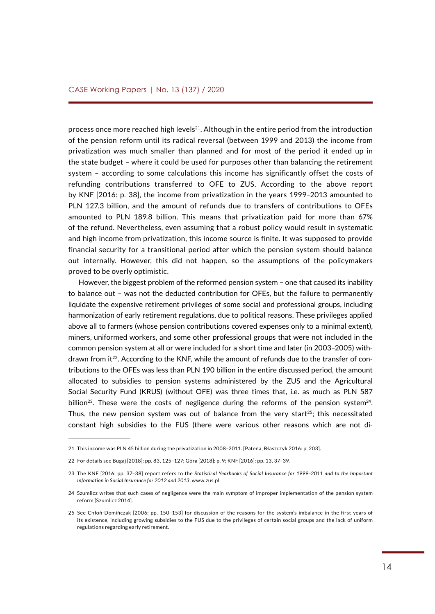process once more reached high levels<sup>21</sup>. Although in the entire period from the introduction of the pension reform until its radical reversal (between 1999 and 2013) the income from privatization was much smaller than planned and for most of the period it ended up in the state budget – where it could be used for purposes other than balancing the retirement system – according to some calculations this income has significantly offset the costs of refunding contributions transferred to OFE to ZUS. According to the above report by KNF [2016: p. 38], the income from privatization in the years 1999–2013 amounted to PLN 127.3 billion, and the amount of refunds due to transfers of contributions to OFEs amounted to PLN 189.8 billion. This means that privatization paid for more than 67% of the refund. Nevertheless, even assuming that a robust policy would result in systematic and high income from privatization, this income source is finite. It was supposed to provide financial security for a transitional period after which the pension system should balance out internally. However, this did not happen, so the assumptions of the policymakers proved to be overly optimistic.

However, the biggest problem of the reformed pension system – one that caused its inability to balance out – was not the deducted contribution for OFEs, but the failure to permanently liquidate the expensive retirement privileges of some social and professional groups, including harmonization of early retirement regulations, due to political reasons. These privileges applied above all to farmers (whose pension contributions covered expenses only to a minimal extent), miners, uniformed workers, and some other professional groups that were not included in the common pension system at all or were included for a short time and later (in 2003–2005) withdrawn from it<sup>22</sup>. According to the KNF, while the amount of refunds due to the transfer of contributions to the OFEs was less than PLN 190 billion in the entire discussed period, the amount allocated to subsidies to pension systems administered by the ZUS and the Agricultural Social Security Fund (KRUS) (without OFE) was three times that, i.e. as much as PLN 587 billion<sup>23</sup>. These were the costs of negligence during the reforms of the pension system<sup>24</sup>. Thus, the new pension system was out of balance from the very start<sup>25</sup>; this necessitated constant high subsidies to the FUS (there were various other reasons which are not di-

<sup>21</sup> This income was PLN 45 billion during the privatization in 2008–2011. [Patena, Błaszczyk 2016: p. 203].

<sup>22</sup> For details see Bugaj [2018]: pp. 83, 125–127; Góra [2018]: p. 9; KNF [2016]: pp. 13, 37–39.

<sup>23</sup> The KNF [2016: pp. 37–38] report refers to the *Statistical Yearbooks of Social Insurance for 1999–2011 and to the Important Information in Social Insurance for 2012 and 2013*, www.zus.pl.

<sup>24</sup> Szumlicz writes that such cases of negligence were the main symptom of improper implementation of the pension system reform [Szumlicz 2014].

<sup>25</sup> See Chłoń-Domińczak [2006: pp. 150–153] for discussion of the reasons for the system's imbalance in the first years of its existence, including growing subsidies to the FUS due to the privileges of certain social groups and the lack of uniform regulations regarding early retirement.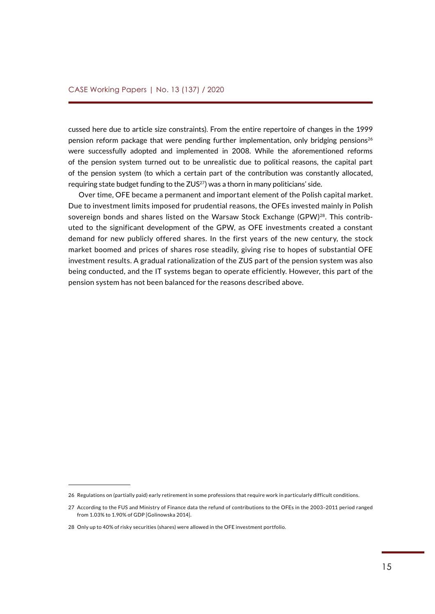cussed here due to article size constraints). From the entire repertoire of changes in the 1999 pension reform package that were pending further implementation, only bridging pensions<sup>26</sup> were successfully adopted and implemented in 2008. While the aforementioned reforms of the pension system turned out to be unrealistic due to political reasons, the capital part of the pension system (to which a certain part of the contribution was constantly allocated, requiring state budget funding to the  $ZUS^{27}$ ) was a thorn in many politicians' side.

Over time, OFE became a permanent and important element of the Polish capital market. Due to investment limits imposed for prudential reasons, the OFEs invested mainly in Polish sovereign bonds and shares listed on the Warsaw Stock Exchange (GPW) $^{28}$ . This contributed to the significant development of the GPW, as OFE investments created a constant demand for new publicly offered shares. In the first years of the new century, the stock market boomed and prices of shares rose steadily, giving rise to hopes of substantial OFE investment results. A gradual rationalization of the ZUS part of the pension system was also being conducted, and the IT systems began to operate efficiently. However, this part of the pension system has not been balanced for the reasons described above.

<sup>26</sup> Regulations on (partially paid) early retirement in some professions that require work in particularly difficult conditions.

<sup>27</sup> According to the FUS and Ministry of Finance data the refund of contributions to the OFEs in the 2003–2011 period ranged from 1.03% to 1.90% of GDP [Golinowska 2014].

<sup>28</sup> Only up to 40% of risky securities (shares) were allowed in the OFE investment portfolio.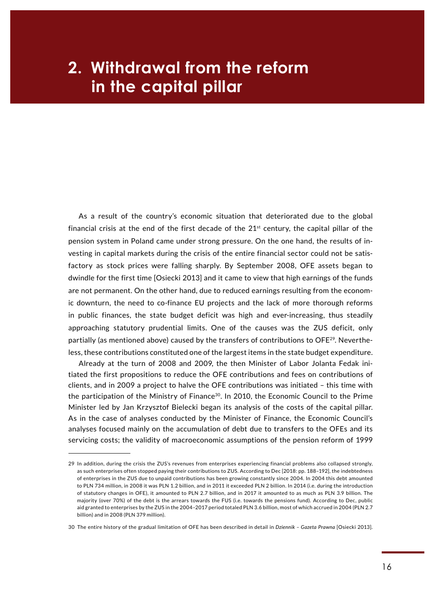## <span id="page-15-0"></span> $\blacksquare$  in the capital pillar **2. Withdrawal from the reform**

As a result of the country's economic situation that deteriorated due to the global financial crisis at the end of the first decade of the  $21<sup>st</sup>$  century, the capital pillar of the pension system in Poland came under strong pressure. On the one hand, the results of investing in capital markets during the crisis of the entire financial sector could not be satisfactory as stock prices were falling sharply. By September 2008, OFE assets began to dwindle for the first time [Osiecki 2013] and it came to view that high earnings of the funds are not permanent. On the other hand, due to reduced earnings resulting from the economic downturn, the need to co-finance EU projects and the lack of more thorough reforms in public finances, the state budget deficit was high and ever-increasing, thus steadily approaching statutory prudential limits. One of the causes was the ZUS deficit, only partially (as mentioned above) caused by the transfers of contributions to OFE $^{29}$ . Nevertheless, these contributions constituted one of the largest items in the state budget expenditure.

Already at the turn of 2008 and 2009, the then Minister of Labor Jolanta Fedak initiated the first propositions to reduce the OFE contributions and fees on contributions of clients, and in 2009 a project to halve the OFE contributions was initiated – this time with the participation of the Ministry of Finance<sup>30</sup>. In 2010, the Economic Council to the Prime Minister led by Jan Krzysztof Bielecki began its analysis of the costs of the capital pillar. As in the case of analyses conducted by the Minister of Finance, the Economic Council's analyses focused mainly on the accumulation of debt due to transfers to the OFEs and its servicing costs; the validity of macroeconomic assumptions of the pension reform of 1999

<sup>29</sup> In addition, during the crisis the ZUS's revenues from enterprises experiencing financial problems also collapsed strongly, as such enterprises often stopped paying their contributions to ZUS. According to Dec [2018: pp. 188–192], the indebtedness of enterprises in the ZUS due to unpaid contributions has been growing constantly since 2004. In 2004 this debt amounted to PLN 734 million, in 2008 it was PLN 1.2 billion, and in 2011 it exceeded PLN 2 billion. In 2014 (i.e. during the introduction of statutory changes in OFE), it amounted to PLN 2.7 billion, and in 2017 it amounted to as much as PLN 3.9 billion. The majority (over 70%) of the debt is the arrears towards the FUS (i.e. towards the pensions fund). According to Dec, public aid granted to enterprises by the ZUS in the 2004–2017 period totaled PLN 3.6 billion, most of which accrued in 2004 (PLN 2.7 billion) and in 2008 (PLN 379 million).

<sup>30</sup> The entire history of the gradual limitation of OFE has been described in detail in *Dziennik – Gazeta Prawna* [Osiecki 2013].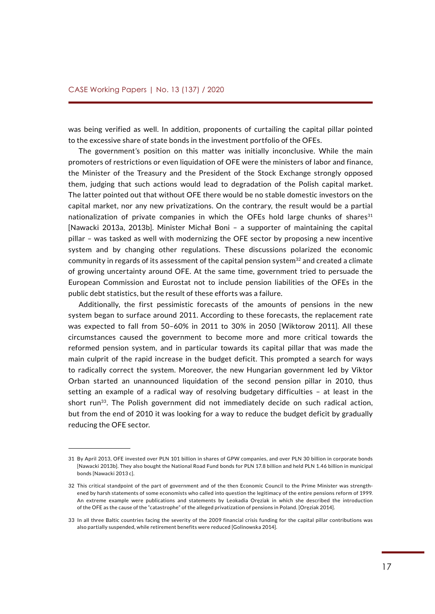was being verified as well. In addition, proponents of curtailing the capital pillar pointed to the excessive share of state bonds in the investment portfolio of the OFEs.

The government's position on this matter was initially inconclusive. While the main promoters of restrictions or even liquidation of OFE were the ministers of labor and finance, the Minister of the Treasury and the President of the Stock Exchange strongly opposed them, judging that such actions would lead to degradation of the Polish capital market. The latter pointed out that without OFE there would be no stable domestic investors on the capital market, nor any new privatizations. On the contrary, the result would be a partial nationalization of private companies in which the OFEs hold large chunks of shares $31$ [Nawacki 2013a, 2013b]. Minister Michał Boni – a supporter of maintaining the capital pillar – was tasked as well with modernizing the OFE sector by proposing a new incentive system and by changing other regulations. These discussions polarized the economic community in regards of its assessment of the capital pension system<sup>32</sup> and created a climate of growing uncertainty around OFE. At the same time, government tried to persuade the European Commission and Eurostat not to include pension liabilities of the OFEs in the public debt statistics, but the result of these efforts was a failure.

Additionally, the first pessimistic forecasts of the amounts of pensions in the new system began to surface around 2011. According to these forecasts, the replacement rate was expected to fall from 50–60% in 2011 to 30% in 2050 [Wiktorow 2011]. All these circumstances caused the government to become more and more critical towards the reformed pension system, and in particular towards its capital pillar that was made the main culprit of the rapid increase in the budget deficit. This prompted a search for ways to radically correct the system. Moreover, the new Hungarian government led by Viktor Orban started an unannounced liquidation of the second pension pillar in 2010, thus setting an example of a radical way of resolving budgetary difficulties – at least in the short run<sup>33</sup>. The Polish government did not immediately decide on such radical action, but from the end of 2010 it was looking for a way to reduce the budget deficit by gradually reducing the OFE sector.

<sup>31</sup> By April 2013, OFE invested over PLN 101 billion in shares of GPW companies, and over PLN 30 billion in corporate bonds [Nawacki 2013b]. They also bought the National Road Fund bonds for PLN 17.8 billion and held PLN 1.46 billion in municipal bonds [Nawacki 2013 c].

<sup>32</sup> This critical standpoint of the part of government and of the then Economic Council to the Prime Minister was strengthened by harsh statements of some economists who called into question the legitimacy of the entire pensions reform of 1999. An extreme example were publications and statements by Leokadia Oręziak in which she described the introduction of the OFE as the cause of the "catastrophe" of the alleged privatization of pensions in Poland. [Oręziak 2014].

<sup>33</sup> In all three Baltic countries facing the severity of the 2009 financial crisis funding for the capital pillar contributions was also partially suspended, while retirement benefits were reduced [Golinowska 2014].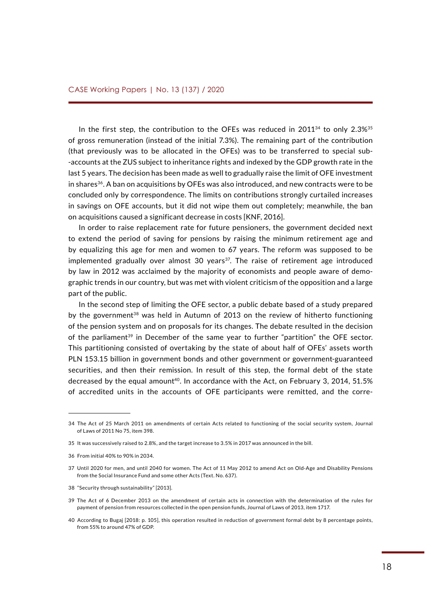In the first step, the contribution to the OFEs was reduced in  $2011^{34}$  to only  $2.3\%^{35}$ of gross remuneration (instead of the initial 7.3%). The remaining part of the contribution (that previously was to be allocated in the OFEs) was to be transferred to special sub- -accounts at the ZUS subject to inheritance rights and indexed by the GDP growth rate in the last 5 years. The decision has been made as well to gradually raise the limit of OFE investment in shares<sup>36</sup>. A ban on acquisitions by OFEs was also introduced, and new contracts were to be concluded only by correspondence. The limits on contributions strongly curtailed increases in savings on OFE accounts, but it did not wipe them out completely; meanwhile, the ban on acquisitions caused a significant decrease in costs [KNF, 2016].

In order to raise replacement rate for future pensioners, the government decided next to extend the period of saving for pensions by raising the minimum retirement age and by equalizing this age for men and women to 67 years. The reform was supposed to be implemented gradually over almost 30 years $37$ . The raise of retirement age introduced by law in 2012 was acclaimed by the majority of economists and people aware of demographic trends in our country, but was met with violent criticism of the opposition and a large part of the public.

In the second step of limiting the OFE sector, a public debate based of a study prepared by the government<sup>38</sup> was held in Autumn of 2013 on the review of hitherto functioning of the pension system and on proposals for its changes. The debate resulted in the decision of the parliament<sup>39</sup> in December of the same year to further "partition" the OFE sector. This partitioning consisted of overtaking by the state of about half of OFEs' assets worth PLN 153.15 billion in government bonds and other government or government-guaranteed securities, and then their remission. In result of this step, the formal debt of the state decreased by the equal amount<sup>40</sup>. In accordance with the Act, on February 3, 2014, 51.5% of accredited units in the accounts of OFE participants were remitted, and the corre-

<sup>34</sup> The Act of 25 March 2011 on amendments of certain Acts related to functioning of the social security system, Journal of Laws of 2011 No 75, item 398.

<sup>35</sup> It was successively raised to 2.8%, and the target increase to 3.5% in 2017 was announced in the bill.

<sup>36</sup> From initial 40% to 90% in 2034.

<sup>37</sup> Until 2020 for men, and until 2040 for women. The Act of 11 May 2012 to amend Act on Old-Age and Disability Pensions from the Social Insurance Fund and some other Acts (Text. No. 637).

<sup>38</sup> "Security through sustainability" [2013].

<sup>39</sup> The Act of 6 December 2013 on the amendment of certain acts in connection with the determination of the rules for payment of pension from resources collected in the open pension funds, Journal of Laws of 2013, item 1717.

<sup>40</sup> According to Bugaj [2018: p. 105], this operation resulted in reduction of government formal debt by 8 percentage points, from 55% to around 47% of GDP.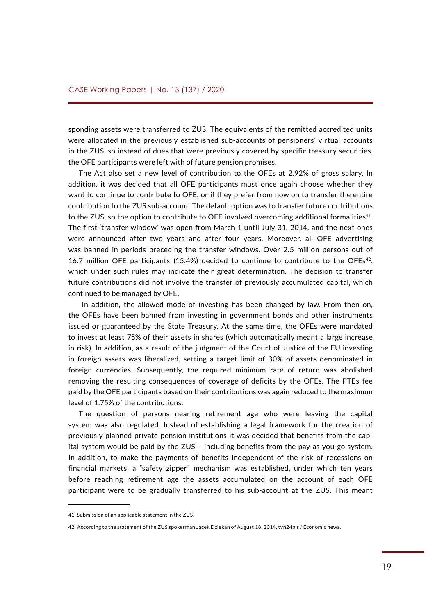sponding assets were transferred to ZUS. The equivalents of the remitted accredited units were allocated in the previously established sub-accounts of pensioners' virtual accounts in the ZUS, so instead of dues that were previously covered by specific treasury securities, the OFE participants were left with of future pension promises.

The Act also set a new level of contribution to the OFEs at 2.92% of gross salary. In addition, it was decided that all OFE participants must once again choose whether they want to continue to contribute to OFE, or if they prefer from now on to transfer the entire contribution to the ZUS sub-account. The default option was to transfer future contributions to the ZUS, so the option to contribute to OFE involved overcoming additional formalities<sup>41</sup>. The first 'transfer window' was open from March 1 until July 31, 2014, and the next ones were announced after two years and after four years. Moreover, all OFE advertising was banned in periods preceding the transfer windows. Over 2.5 million persons out of 16.7 million OFE participants (15.4%) decided to continue to contribute to the OFEs $42$ , which under such rules may indicate their great determination. The decision to transfer future contributions did not involve the transfer of previously accumulated capital, which continued to be managed by OFE.

 In addition, the allowed mode of investing has been changed by law. From then on, the OFEs have been banned from investing in government bonds and other instruments issued or guaranteed by the State Treasury. At the same time, the OFEs were mandated to invest at least 75% of their assets in shares (which automatically meant a large increase in risk). In addition, as a result of the judgment of the Court of Justice of the EU investing in foreign assets was liberalized, setting a target limit of 30% of assets denominated in foreign currencies. Subsequently, the required minimum rate of return was abolished removing the resulting consequences of coverage of deficits by the OFEs. The PTEs fee paid by the OFE participants based on their contributions was again reduced to the maximum level of 1.75% of the contributions.

The question of persons nearing retirement age who were leaving the capital system was also regulated. Instead of establishing a legal framework for the creation of previously planned private pension institutions it was decided that benefits from the capital system would be paid by the ZUS – including benefits from the pay-as-you-go system. In addition, to make the payments of benefits independent of the risk of recessions on financial markets, a "safety zipper" mechanism was established, under which ten years before reaching retirement age the assets accumulated on the account of each OFE participant were to be gradually transferred to his sub-account at the ZUS. This meant

<sup>41</sup> Submission of an applicable statement in the ZUS.

<sup>42</sup> According to the statement of the ZUS spokesman Jacek Dziekan of August 18, 2014, tvn24bis / Economic news.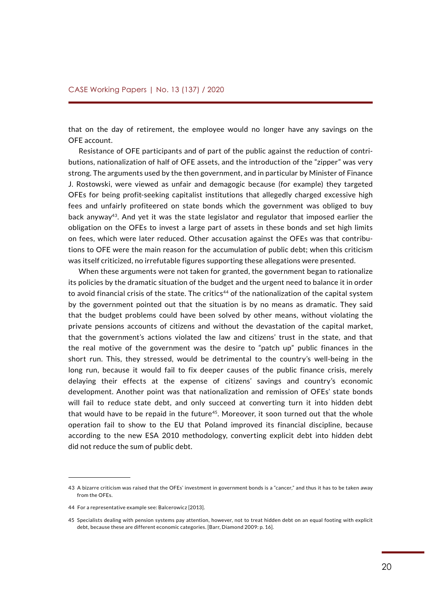that on the day of retirement, the employee would no longer have any savings on the OFE account.

Resistance of OFE participants and of part of the public against the reduction of contributions, nationalization of half of OFE assets, and the introduction of the "zipper" was very strong. The arguments used by the then government, and in particular by Minister of Finance J. Rostowski, were viewed as unfair and demagogic because (for example) they targeted OFEs for being profit-seeking capitalist institutions that allegedly charged excessive high fees and unfairly profiteered on state bonds which the government was obliged to buy back anyway<sup>43</sup>. And yet it was the state legislator and regulator that imposed earlier the obligation on the OFEs to invest a large part of assets in these bonds and set high limits on fees, which were later reduced. Other accusation against the OFEs was that contributions to OFE were the main reason for the accumulation of public debt; when this criticism was itself criticized, no irrefutable figures supporting these allegations were presented.

When these arguments were not taken for granted, the government began to rationalize its policies by the dramatic situation of the budget and the urgent need to balance it in order to avoid financial crisis of the state. The critics<sup>44</sup> of the nationalization of the capital system by the government pointed out that the situation is by no means as dramatic. They said that the budget problems could have been solved by other means, without violating the private pensions accounts of citizens and without the devastation of the capital market, that the government's actions violated the law and citizens' trust in the state, and that the real motive of the government was the desire to "patch up" public finances in the short run. This, they stressed, would be detrimental to the country's well-being in the long run, because it would fail to fix deeper causes of the public finance crisis, merely delaying their effects at the expense of citizens' savings and country's economic development. Another point was that nationalization and remission of OFEs' state bonds will fail to reduce state debt, and only succeed at converting turn it into hidden debt that would have to be repaid in the future<sup>45</sup>. Moreover, it soon turned out that the whole operation fail to show to the EU that Poland improved its financial discipline, because according to the new ESA 2010 methodology, converting explicit debt into hidden debt did not reduce the sum of public debt.

<sup>43</sup> A bizarre criticism was raised that the OFEs' investment in government bonds is a "cancer," and thus it has to be taken away from the OFEs.

<sup>44</sup> For a representative example see: Balcerowicz [2013].

<sup>45</sup> Specialists dealing with pension systems pay attention, however, not to treat hidden debt on an equal footing with explicit debt, because these are different economic categories. [Barr, Diamond 2009: p. 16].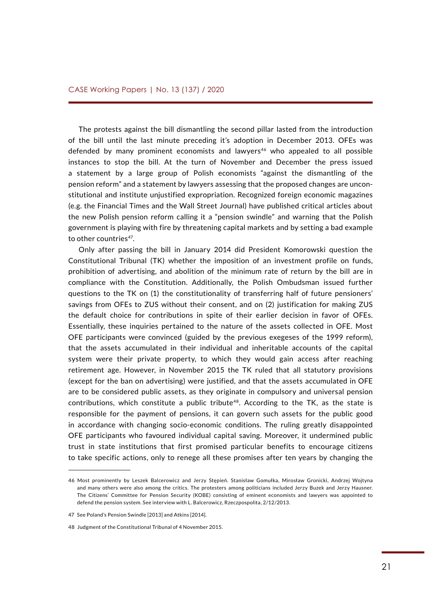The protests against the bill dismantling the second pillar lasted from the introduction of the bill until the last minute preceding it's adoption in December 2013. OFEs was defended by many prominent economists and lawyers<sup>46</sup> who appealed to all possible instances to stop the bill. At the turn of November and December the press issued a statement by a large group of Polish economists "against the dismantling of the pension reform" and a statement by lawyers assessing that the proposed changes are unconstitutional and institute unjustified expropriation. Recognized foreign economic magazines (e.g. the Financial Times and the Wall Street Journal) have published critical articles about the new Polish pension reform calling it a "pension swindle" and warning that the Polish government is playing with fire by threatening capital markets and by setting a bad example to other countries<sup>47</sup>.

Only after passing the bill in January 2014 did President Komorowski question the Constitutional Tribunal (TK) whether the imposition of an investment profile on funds, prohibition of advertising, and abolition of the minimum rate of return by the bill are in compliance with the Constitution. Additionally, the Polish Ombudsman issued further questions to the TK on (1) the constitutionality of transferring half of future pensioners' savings from OFEs to ZUS without their consent, and on (2) justification for making ZUS the default choice for contributions in spite of their earlier decision in favor of OFEs. Essentially, these inquiries pertained to the nature of the assets collected in OFE. Most OFE participants were convinced (guided by the previous exegeses of the 1999 reform), that the assets accumulated in their individual and inheritable accounts of the capital system were their private property, to which they would gain access after reaching retirement age. However, in November 2015 the TK ruled that all statutory provisions (except for the ban on advertising) were justified, and that the assets accumulated in OFE are to be considered public assets, as they originate in compulsory and universal pension contributions, which constitute a public tribute<sup>48</sup>. According to the TK, as the state is responsible for the payment of pensions, it can govern such assets for the public good in accordance with changing socio-economic conditions. The ruling greatly disappointed OFE participants who favoured individual capital saving. Moreover, it undermined public trust in state institutions that first promised particular benefits to encourage citizens to take specific actions, only to renege all these promises after ten years by changing the

<sup>46</sup> Most prominently by Leszek Balcerowicz and Jerzy Stępień. Stanisław Gomułka, Mirosław Gronicki, Andrzej Wojtyna and many others were also among the critics. The protesters among politicians included Jerzy Buzek and Jerzy Hausner. The Citizens' Committee for Pension Security (KOBE) consisting of eminent economists and lawyers was appointed to defend the pension system. See interview with L. Balcerowicz, Rzeczpospolita, 2/12/2013.

<sup>47</sup> See Poland's Pension Swindle [2013] and Atkins [2014].

<sup>48</sup> Judgment of the Constitutional Tribunal of 4 November 2015.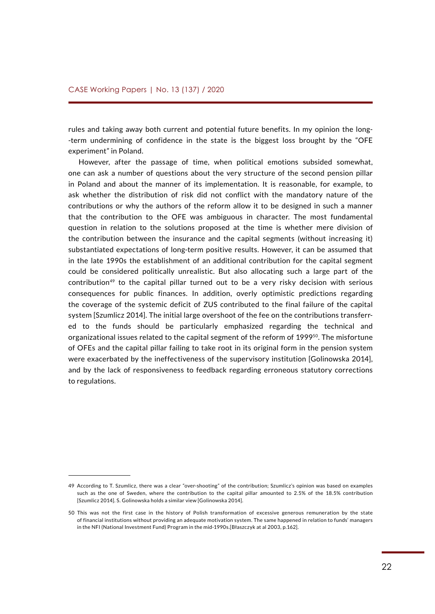rules and taking away both current and potential future benefits. In my opinion the long- -term undermining of confidence in the state is the biggest loss brought by the "OFE experiment" in Poland.

However, after the passage of time, when political emotions subsided somewhat, one can ask a number of questions about the very structure of the second pension pillar in Poland and about the manner of its implementation. It is reasonable, for example, to ask whether the distribution of risk did not conflict with the mandatory nature of the contributions or why the authors of the reform allow it to be designed in such a manner that the contribution to the OFE was ambiguous in character. The most fundamental question in relation to the solutions proposed at the time is whether mere division of the contribution between the insurance and the capital segments (without increasing it) substantiated expectations of long-term positive results. However, it can be assumed that in the late 1990s the establishment of an additional contribution for the capital segment could be considered politically unrealistic. But also allocating such a large part of the contribution<sup>49</sup> to the capital pillar turned out to be a very risky decision with serious consequences for public finances. In addition, overly optimistic predictions regarding the coverage of the systemic deficit of ZUS contributed to the final failure of the capital system [Szumlicz 2014]. The initial large overshoot of the fee on the contributions transferred to the funds should be particularly emphasized regarding the technical and organizational issues related to the capital segment of the reform of 1999<sup>50</sup>. The misfortune of OFEs and the capital pillar failing to take root in its original form in the pension system were exacerbated by the ineffectiveness of the supervisory institution [Golinowska 2014], and by the lack of responsiveness to feedback regarding erroneous statutory corrections to regulations.

<sup>49</sup> According to T. Szumlicz, there was a clear "over-shooting" of the contribution; Szumlicz's opinion was based on examples such as the one of Sweden, where the contribution to the capital pillar amounted to 2.5% of the 18.5% contribution [Szumlicz 2014]. S. Golinowska holds a similar view [Golinowska 2014].

<sup>50</sup> This was not the first case in the history of Polish transformation of excessive generous remuneration by the state of financial institutions without providing an adequate motivation system. The same happened in relation to funds' managers in the NFI (National Investment Fund) Program in the mid-1990s.[Błaszczyk at al 2003, p.162].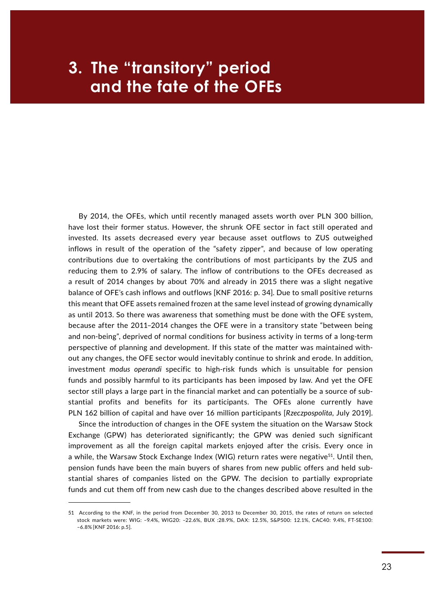## <span id="page-22-0"></span>**Example 1** and the fate of the OFEs **3. The "transitory" period**

By 2014, the OFEs, which until recently managed assets worth over PLN 300 billion, have lost their former status. However, the shrunk OFE sector in fact still operated and invested. Its assets decreased every year because asset outflows to ZUS outweighed inflows in result of the operation of the "safety zipper", and because of low operating contributions due to overtaking the contributions of most participants by the ZUS and reducing them to 2.9% of salary. The inflow of contributions to the OFEs decreased as a result of 2014 changes by about 70% and already in 2015 there was a slight negative balance of OFE's cash inflows and outflows [KNF 2016: p. 34]. Due to small positive returns this meant that OFE assets remained frozen at the same level instead of growing dynamically as until 2013. So there was awareness that something must be done with the OFE system, because after the 2011–2014 changes the OFE were in a transitory state "between being and non-being", deprived of normal conditions for business activity in terms of a long-term perspective of planning and development. If this state of the matter was maintained without any changes, the OFE sector would inevitably continue to shrink and erode. In addition, investment *modus operandi* specific to high-risk funds which is unsuitable for pension funds and possibly harmful to its participants has been imposed by law. And yet the OFE sector still plays a large part in the financial market and can potentially be a source of substantial profits and benefits for its participants. The OFEs alone currently have PLN 162 billion of capital and have over 16 million participants [*Rzeczpospolita*, July 2019].

Since the introduction of changes in the OFE system the situation on the Warsaw Stock Exchange (GPW) has deteriorated significantly; the GPW was denied such significant improvement as all the foreign capital markets enjoyed after the crisis. Every once in a while, the Warsaw Stock Exchange Index (WIG) return rates were negative<sup>51</sup>. Until then, pension funds have been the main buyers of shares from new public offers and held substantial shares of companies listed on the GPW. The decision to partially expropriate funds and cut them off from new cash due to the changes described above resulted in the

<sup>51</sup> According to the KNF, in the period from December 30, 2013 to December 30, 2015, the rates of return on selected stock markets were: WIG: –9.4%, WIG20: –22.6%, BUX :28.9%, DAX: 12.5%, S&P500: 12.1%, CAC40: 9.4%, FT-SE100: –6.8% [KNF 2016: p.5].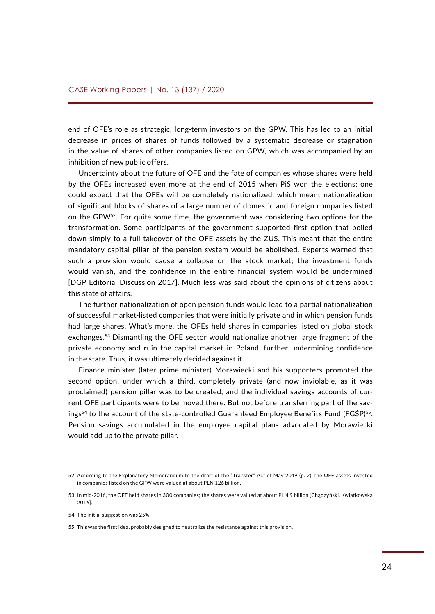end of OFE's role as strategic, long-term investors on the GPW. This has led to an initial decrease in prices of shares of funds followed by a systematic decrease or stagnation in the value of shares of other companies listed on GPW, which was accompanied by an inhibition of new public offers.

Uncertainty about the future of OFE and the fate of companies whose shares were held by the OFEs increased even more at the end of 2015 when PiS won the elections; one could expect that the OFEs will be completely nationalized, which meant nationalization of significant blocks of shares of a large number of domestic and foreign companies listed on the GPW<sup>52</sup>. For quite some time, the government was considering two options for the transformation. Some participants of the government supported first option that boiled down simply to a full takeover of the OFE assets by the ZUS. This meant that the entire mandatory capital pillar of the pension system would be abolished. Experts warned that such a provision would cause a collapse on the stock market; the investment funds would vanish, and the confidence in the entire financial system would be undermined [DGP Editorial Discussion 2017]. Much less was said about the opinions of citizens about this state of affairs.

The further nationalization of open pension funds would lead to a partial nationalization of successful market-listed companies that were initially private and in which pension funds had large shares. What's more, the OFEs held shares in companies listed on global stock exchanges.53 Dismantling the OFE sector would nationalize another large fragment of the private economy and ruin the capital market in Poland, further undermining confidence in the state. Thus, it was ultimately decided against it.

Finance minister (later prime minister) Morawiecki and his supporters promoted the second option, under which a third, completely private (and now inviolable, as it was proclaimed) pension pillar was to be created, and the individual savings accounts of current OFE participants were to be moved there. But not before transferring part of the savings<sup>54</sup> to the account of the state-controlled Guaranteed Employee Benefits Fund (FGŚP)<sup>55</sup>. Pension savings accumulated in the employee capital plans advocated by Morawiecki would add up to the private pillar.

<sup>52</sup> According to the Explanatory Memorandum to the draft of the "Transfer" Act of May 2019 (p. 2), the OFE assets invested in companies listed on the GPW were valued at about PLN 126 billion.

<sup>53</sup> In mid-2016, the OFE held shares in 300 companies; the shares were valued at about PLN 9 billion [Chądzyński, Kwiatkowska 2016].

<sup>54</sup> The initial suggestion was 25%.

<sup>55</sup> This was the first idea, probably designed to neutralize the resistance against this provision.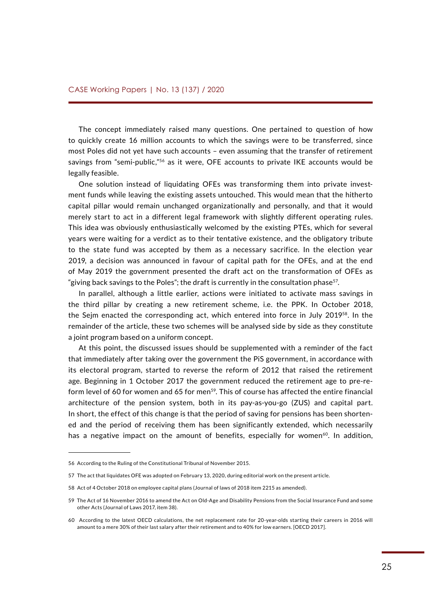The concept immediately raised many questions. One pertained to question of how to quickly create 16 million accounts to which the savings were to be transferred, since most Poles did not yet have such accounts – even assuming that the transfer of retirement savings from "semi-public,"<sup>56</sup> as it were, OFE accounts to private IKE accounts would be legally feasible.

One solution instead of liquidating OFEs was transforming them into private investment funds while leaving the existing assets untouched. This would mean that the hitherto capital pillar would remain unchanged organizationally and personally, and that it would merely start to act in a different legal framework with slightly different operating rules. This idea was obviously enthusiastically welcomed by the existing PTEs, which for several years were waiting for a verdict as to their tentative existence, and the obligatory tribute to the state fund was accepted by them as a necessary sacrifice. In the election year 2019, a decision was announced in favour of capital path for the OFEs, and at the end of May 2019 the government presented the draft act on the transformation of OFEs as "giving back savings to the Poles"; the draft is currently in the consultation phase<sup>57</sup>.

In parallel, although a little earlier, actions were initiated to activate mass savings in the third pillar by creating a new retirement scheme, i.e. the PPK. In October 2018, the Sejm enacted the corresponding act, which entered into force in July 2019<sup>58</sup>. In the remainder of the article, these two schemes will be analysed side by side as they constitute a joint program based on a uniform concept.

At this point, the discussed issues should be supplemented with a reminder of the fact that immediately after taking over the government the PiS government, in accordance with its electoral program, started to reverse the reform of 2012 that raised the retirement age. Beginning in 1 October 2017 the government reduced the retirement age to pre-reform level of 60 for women and 65 for men<sup>59</sup>. This of course has affected the entire financial architecture of the pension system, both in its pay-as-you-go (ZUS) and capital part. In short, the effect of this change is that the period of saving for pensions has been shortened and the period of receiving them has been significantly extended, which necessarily has a negative impact on the amount of benefits, especially for women<sup>60</sup>. In addition,

<sup>56</sup> According to the Ruling of the Constitutional Tribunal of November 2015.

<sup>57</sup> The act that liquidates OFE was adopted on February 13, 2020, during editorial work on the present article.

<sup>58</sup> Act of 4 October 2018 on employee capital plans (Journal of laws of 2018 item 2215 as amended).

<sup>59</sup> The Act of 16 November 2016 to amend the Act on Old-Age and Disability Pensions from the Social Insurance Fund and some other Acts (Journal of Laws 2017, item 38).

<sup>60</sup> According to the latest OECD calculations, the net replacement rate for 20-year-olds starting their careers in 2016 will amount to a mere 30% of their last salary after their retirement and to 40% for low earners. [OECD 2017].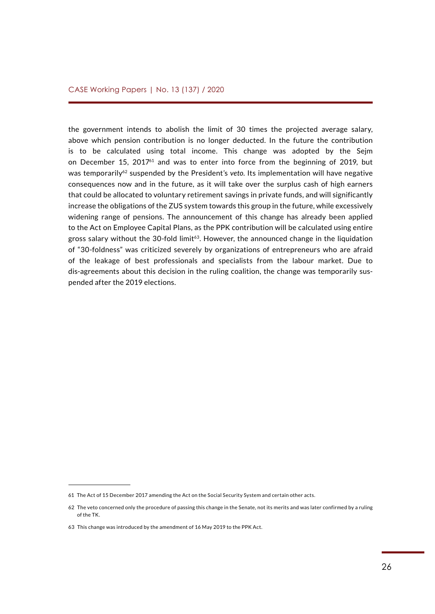the government intends to abolish the limit of 30 times the projected average salary, above which pension contribution is no longer deducted. In the future the contribution is to be calculated using total income. This change was adopted by the Sejm on December 15,  $2017<sup>61</sup>$  and was to enter into force from the beginning of 2019, but was temporarily<sup>62</sup> suspended by the President's veto. Its implementation will have negative consequences now and in the future, as it will take over the surplus cash of high earners that could be allocated to voluntary retirement savings in private funds, and will significantly increase the obligations of the ZUS system towards this group in the future, while excessively widening range of pensions. The announcement of this change has already been applied to the Act on Employee Capital Plans, as the PPK contribution will be calculated using entire gross salary without the 30-fold limit<sup>63</sup>. However, the announced change in the liquidation of "30-foldness" was criticized severely by organizations of entrepreneurs who are afraid of the leakage of best professionals and specialists from the labour market. Due to dis-agreements about this decision in the ruling coalition, the change was temporarily suspended after the 2019 elections.

<sup>61</sup> The Act of 15 December 2017 amending the Act on the Social Security System and certain other acts.

<sup>62</sup> The veto concerned only the procedure of passing this change in the Senate, not its merits and was later confirmed by a ruling of the TK.

<sup>63</sup> This change was introduced by the amendment of 16 May 2019 to the PPK Act.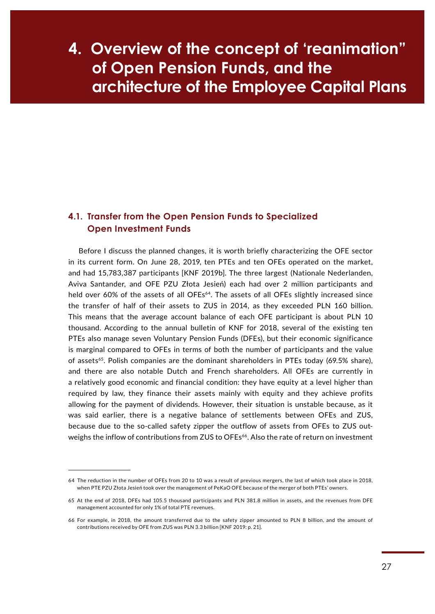## <span id="page-26-0"></span>**EXAGREY MOVER 201 MINO 1 (2015)** architecture of the Employee Capital Plans **4. Overview of the concept of 'reanimation" of Open Pension Funds, and the**

#### **4.1. Transfer from the Open Pension Funds to Specialized Open Investment Funds**

Before I discuss the planned changes, it is worth briefly characterizing the OFE sector in its current form. On June 28, 2019, ten PTEs and ten OFEs operated on the market, and had 15,783,387 participants [KNF 2019b]. The three largest (Nationale Nederlanden, Aviva Santander, and OFE PZU Złota Jesień) each had over 2 million participants and held over 60% of the assets of all OFEs<sup>64</sup>. The assets of all OFEs slightly increased since the transfer of half of their assets to ZUS in 2014, as they exceeded PLN 160 billion. This means that the average account balance of each OFE participant is about PLN 10 thousand. According to the annual bulletin of KNF for 2018, several of the existing ten PTEs also manage seven Voluntary Pension Funds (DFEs), but their economic significance is marginal compared to OFEs in terms of both the number of participants and the value of assets<sup>65</sup>. Polish companies are the dominant shareholders in PTEs today (69.5% share), and there are also notable Dutch and French shareholders. All OFEs are currently in a relatively good economic and financial condition: they have equity at a level higher than required by law, they finance their assets mainly with equity and they achieve profits allowing for the payment of dividends. However, their situation is unstable because, as it was said earlier, there is a negative balance of settlements between OFEs and ZUS, because due to the so-called safety zipper the outflow of assets from OFEs to ZUS outweighs the inflow of contributions from ZUS to OFEs<sup>66</sup>. Also the rate of return on investment

<sup>64</sup> The reduction in the number of OFEs from 20 to 10 was a result of previous mergers, the last of which took place in 2018, when PTE PZU Złota Jesień took over the management of PeKaO OFE because of the merger of both PTEs' owners.

<sup>65</sup> At the end of 2018, DFEs had 105.5 thousand participants and PLN 381.8 million in assets, and the revenues from DFE management accounted for only 1% of total PTE revenues.

<sup>66</sup> For example, in 2018, the amount transferred due to the safety zipper amounted to PLN 8 billion, and the amount of contributions received by OFE from ZUS was PLN 3.3 billion [KNF 2019: p. 21].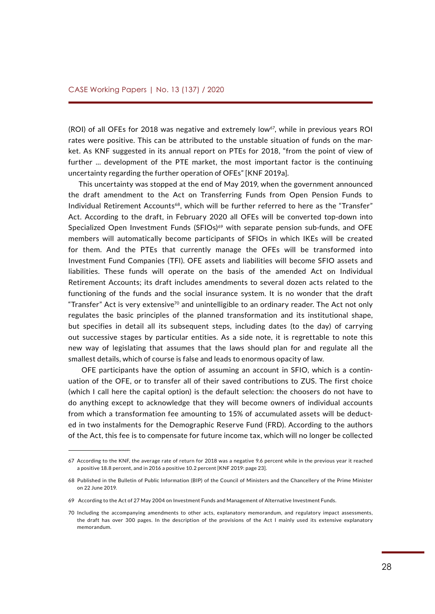(ROI) of all OFEs for 2018 was negative and extremely low<sup>67</sup>, while in previous years ROI rates were positive. This can be attributed to the unstable situation of funds on the market. As KNF suggested in its annual report on PTEs for 2018, "from the point of view of further ... development of the PTE market, the most important factor is the continuing uncertainty regarding the further operation of OFEs" [KNF 2019a].

This uncertainty was stopped at the end of May 2019, when the government announced the draft amendment to the Act on Transferring Funds from Open Pension Funds to Individual Retirement Accounts<sup>68</sup>, which will be further referred to here as the "Transfer" Act. According to the draft, in February 2020 all OFEs will be converted top-down into Specialized Open Investment Funds (SFIOs) $69$  with separate pension sub-funds, and OFE members will automatically become participants of SFIOs in which IKEs will be created for them. And the PTEs that currently manage the OFEs will be transformed into Investment Fund Companies (TFI). OFE assets and liabilities will become SFIO assets and liabilities. These funds will operate on the basis of the amended Act on Individual Retirement Accounts; its draft includes amendments to several dozen acts related to the functioning of the funds and the social insurance system. It is no wonder that the draft "Transfer" Act is very extensive<sup>70</sup> and unintelligible to an ordinary reader. The Act not only regulates the basic principles of the planned transformation and its institutional shape, but specifies in detail all its subsequent steps, including dates (to the day) of carrying out successive stages by particular entities. As a side note, it is regrettable to note this new way of legislating that assumes that the laws should plan for and regulate all the smallest details, which of course is false and leads to enormous opacity of law.

 OFE participants have the option of assuming an account in SFIO, which is a continuation of the OFE, or to transfer all of their saved contributions to ZUS. The first choice (which I call here the capital option) is the default selection: the choosers do not have to do anything except to acknowledge that they will become owners of individual accounts from which a transformation fee amounting to 15% of accumulated assets will be deducted in two instalments for the Demographic Reserve Fund (FRD). According to the authors of the Act, this fee is to compensate for future income tax, which will no longer be collected

<sup>67</sup> According to the KNF, the average rate of return for 2018 was a negative 9.6 percent while in the previous year it reached a positive 18.8 percent, and in 2016 a positive 10.2 percent [KNF 2019: page 23].

<sup>68</sup> Published in the Bulletin of Public Information (BIP) of the Council of Ministers and the Chancellery of the Prime Minister on 22 June 2019.

<sup>69</sup> According to the Act of 27 May 2004 on Investment Funds and Management of Alternative Investment Funds.

<sup>70</sup> Including the accompanying amendments to other acts, explanatory memorandum, and regulatory impact assessments, the draft has over 300 pages. In the description of the provisions of the Act I mainly used its extensive explanatory memorandum.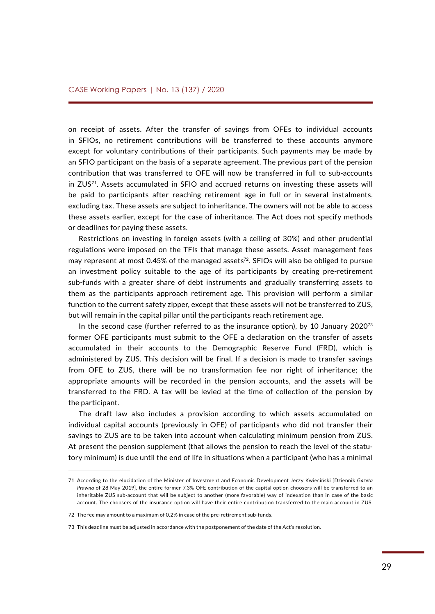on receipt of assets. After the transfer of savings from OFEs to individual accounts in SFIOs, no retirement contributions will be transferred to these accounts anymore except for voluntary contributions of their participants. Such payments may be made by an SFIO participant on the basis of a separate agreement. The previous part of the pension contribution that was transferred to OFE will now be transferred in full to sub-accounts in ZUS71. Assets accumulated in SFIO and accrued returns on investing these assets will be paid to participants after reaching retirement age in full or in several instalments, excluding tax. These assets are subject to inheritance. The owners will not be able to access these assets earlier, except for the case of inheritance. The Act does not specify methods or deadlines for paying these assets.

Restrictions on investing in foreign assets (with a ceiling of 30%) and other prudential regulations were imposed on the TFIs that manage these assets. Asset management fees may represent at most 0.45% of the managed assets<sup>72</sup>. SFIOs will also be obliged to pursue an investment policy suitable to the age of its participants by creating pre-retirement sub-funds with a greater share of debt instruments and gradually transferring assets to them as the participants approach retirement age. This provision will perform a similar function to the current safety zipper, except that these assets will not be transferred to ZUS, but will remain in the capital pillar until the participants reach retirement age.

In the second case (further referred to as the insurance option), by 10 January  $2020^{73}$ former OFE participants must submit to the OFE a declaration on the transfer of assets accumulated in their accounts to the Demographic Reserve Fund (FRD), which is administered by ZUS. This decision will be final. If a decision is made to transfer savings from OFE to ZUS, there will be no transformation fee nor right of inheritance; the appropriate amounts will be recorded in the pension accounts, and the assets will be transferred to the FRD. A tax will be levied at the time of collection of the pension by the participant.

The draft law also includes a provision according to which assets accumulated on individual capital accounts (previously in OFE) of participants who did not transfer their savings to ZUS are to be taken into account when calculating minimum pension from ZUS. At present the pension supplement (that allows the pension to reach the level of the statutory minimum) is due until the end of life in situations when a participant (who has a minimal

<sup>71</sup> According to the elucidation of the Minister of Investment and Economic Development Jerzy Kwieciński [Dziennik *Gazeta Prawna* of 28 May 2019], the entire former 7.3% OFE contribution of the capital option choosers will be transferred to an inheritable ZUS sub-account that will be subject to another (more favorable) way of indexation than in case of the basic account. The choosers of the insurance option will have their entire contribution transferred to the main account in ZUS.

<sup>72</sup> The fee may amount to a maximum of 0.2% in case of the pre-retirement sub-funds.

<sup>73</sup> This deadline must be adjusted in accordance with the postponement of the date of the Act's resolution.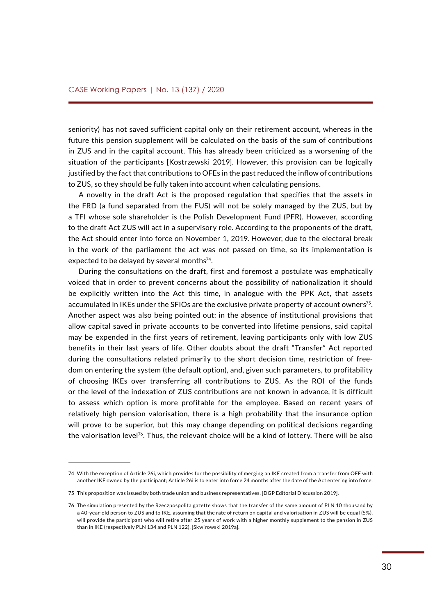seniority) has not saved sufficient capital only on their retirement account, whereas in the future this pension supplement will be calculated on the basis of the sum of contributions in ZUS and in the capital account. This has already been criticized as a worsening of the situation of the participants [Kostrzewski 2019]. However, this provision can be logically justified by the fact that contributions to OFEs in the past reduced the inflow of contributions to ZUS, so they should be fully taken into account when calculating pensions.

A novelty in the draft Act is the proposed regulation that specifies that the assets in the FRD (a fund separated from the FUS) will not be solely managed by the ZUS, but by a TFI whose sole shareholder is the Polish Development Fund (PFR). However, according to the draft Act ZUS will act in a supervisory role. According to the proponents of the draft, the Act should enter into force on November 1, 2019. However, due to the electoral break in the work of the parliament the act was not passed on time, so its implementation is expected to be delayed by several months<sup>74</sup>.

During the consultations on the draft, first and foremost a postulate was emphatically voiced that in order to prevent concerns about the possibility of nationalization it should be explicitly written into the Act this time, in analogue with the PPK Act, that assets accumulated in IKEs under the SFIOs are the exclusive private property of account owners<sup>75</sup>. Another aspect was also being pointed out: in the absence of institutional provisions that allow capital saved in private accounts to be converted into lifetime pensions, said capital may be expended in the first years of retirement, leaving participants only with low ZUS benefits in their last years of life. Other doubts about the draft "Transfer" Act reported during the consultations related primarily to the short decision time, restriction of freedom on entering the system (the default option), and, given such parameters, to profitability of choosing IKEs over transferring all contributions to ZUS. As the ROI of the funds or the level of the indexation of ZUS contributions are not known in advance, it is difficult to assess which option is more profitable for the employee. Based on recent years of relatively high pension valorisation, there is a high probability that the insurance option will prove to be superior, but this may change depending on political decisions regarding the valorisation level<sup>76</sup>. Thus, the relevant choice will be a kind of lottery. There will be also

<sup>74</sup> With the exception of Article 26i, which provides for the possibility of merging an IKE created from a transfer from OFE with another IKE owned by the participant; Article 26i is to enter into force 24 months after the date of the Act entering into force.

<sup>75</sup> This proposition was issued by both trade union and business representatives. [DGP Editorial Discussion 2019].

<sup>76</sup> The simulation presented by the Rzeczpospolita gazette shows that the transfer of the same amount of PLN 10 thousand by a 40-year-old person to ZUS and to IKE, assuming that the rate of return on capital and valorisation in ZUS will be equal (5%), will provide the participant who will retire after 25 years of work with a higher monthly supplement to the pension in ZUS than in IKE (respectively PLN 134 and PLN 122). [Skwirowski 2019a].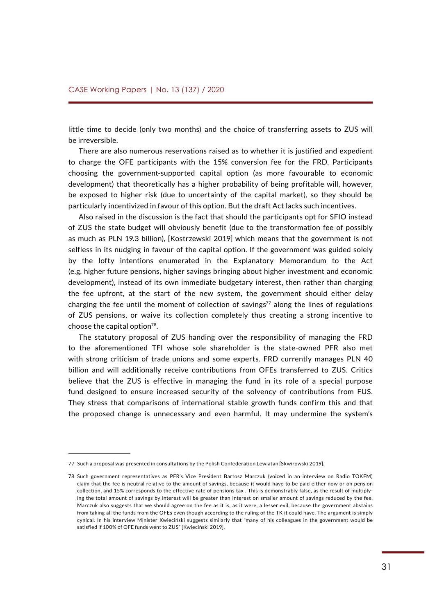little time to decide (only two months) and the choice of transferring assets to ZUS will be irreversible.

There are also numerous reservations raised as to whether it is justified and expedient to charge the OFE participants with the 15% conversion fee for the FRD. Participants choosing the government-supported capital option (as more favourable to economic development) that theoretically has a higher probability of being profitable will, however, be exposed to higher risk (due to uncertainty of the capital market), so they should be particularly incentivized in favour of this option. But the draft Act lacks such incentives.

Also raised in the discussion is the fact that should the participants opt for SFIO instead of ZUS the state budget will obviously benefit (due to the transformation fee of possibly as much as PLN 19.3 billion), [Kostrzewski 2019] which means that the government is not selfless in its nudging in favour of the capital option. If the government was guided solely by the lofty intentions enumerated in the Explanatory Memorandum to the Act (e.g. higher future pensions, higher savings bringing about higher investment and economic development), instead of its own immediate budgetary interest, then rather than charging the fee upfront, at the start of the new system, the government should either delay charging the fee until the moment of collection of savings<sup>77</sup> along the lines of regulations of ZUS pensions, or waive its collection completely thus creating a strong incentive to choose the capital option $78$ .

The statutory proposal of ZUS handing over the responsibility of managing the FRD to the aforementioned TFI whose sole shareholder is the state-owned PFR also met with strong criticism of trade unions and some experts. FRD currently manages PLN 40 billion and will additionally receive contributions from OFEs transferred to ZUS. Critics believe that the ZUS is effective in managing the fund in its role of a special purpose fund designed to ensure increased security of the solvency of contributions from FUS. They stress that comparisons of international stable growth funds confirm this and that the proposed change is unnecessary and even harmful. It may undermine the system's

<sup>77</sup> Such a proposal was presented in consultations by the Polish Confederation Lewiatan [Skwirowski 2019].

<sup>78</sup> Such government representatives as PFR's Vice President Bartosz Marczuk (voiced in an interview on Radio TOKFM) claim that the fee is neutral relative to the amount of savings, because it would have to be paid either now or on pension collection, and 15% corresponds to the effective rate of pensions tax . This is demonstrably false, as the result of multiplying the total amount of savings by interest will be greater than interest on smaller amount of savings reduced by the fee. Marczuk also suggests that we should agree on the fee as it is, as it were, a lesser evil, because the government abstains from taking all the funds from the OFEs even though according to the ruling of the TK it could have. The argument is simply cynical. In his interview Minister Kwieciński suggests similarly that "many of his colleagues in the government would be satisfied if 100% of OFE funds went to ZUS" [Kwieciński 2019].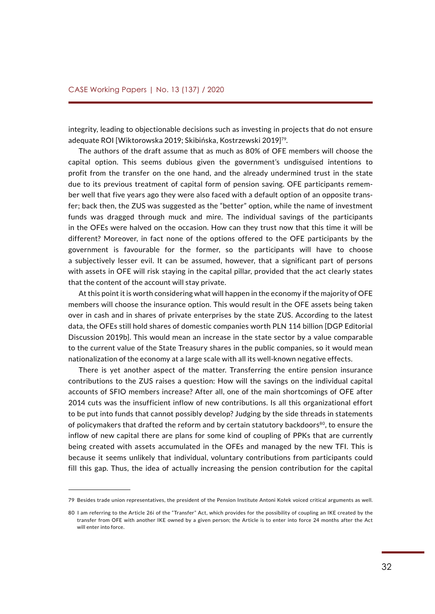integrity, leading to objectionable decisions such as investing in projects that do not ensure adequate ROI [Wiktorowska 2019; Skibińska, Kostrzewski 2019]79.

The authors of the draft assume that as much as 80% of OFE members will choose the capital option. This seems dubious given the government's undisguised intentions to profit from the transfer on the one hand, and the already undermined trust in the state due to its previous treatment of capital form of pension saving. OFE participants remember well that five years ago they were also faced with a default option of an opposite transfer; back then, the ZUS was suggested as the "better" option, while the name of investment funds was dragged through muck and mire. The individual savings of the participants in the OFEs were halved on the occasion. How can they trust now that this time it will be different? Moreover, in fact none of the options offered to the OFE participants by the government is favourable for the former, so the participants will have to choose a subjectively lesser evil. It can be assumed, however, that a significant part of persons with assets in OFE will risk staying in the capital pillar, provided that the act clearly states that the content of the account will stay private.

At this point it is worth considering what will happen in the economy if the majority of OFE members will choose the insurance option. This would result in the OFE assets being taken over in cash and in shares of private enterprises by the state ZUS. According to the latest data, the OFEs still hold shares of domestic companies worth PLN 114 billion [DGP Editorial Discussion 2019b]. This would mean an increase in the state sector by a value comparable to the current value of the State Treasury shares in the public companies, so it would mean nationalization of the economy at a large scale with all its well-known negative effects.

There is yet another aspect of the matter. Transferring the entire pension insurance contributions to the ZUS raises a question: How will the savings on the individual capital accounts of SFIO members increase? After all, one of the main shortcomings of OFE after 2014 cuts was the insufficient inflow of new contributions. Is all this organizational effort to be put into funds that cannot possibly develop? Judging by the side threads in statements of policymakers that drafted the reform and by certain statutory backdoors<sup>80</sup>, to ensure the inflow of new capital there are plans for some kind of coupling of PPKs that are currently being created with assets accumulated in the OFEs and managed by the new TFI. This is because it seems unlikely that individual, voluntary contributions from participants could fill this gap. Thus, the idea of actually increasing the pension contribution for the capital

<sup>79</sup> Besides trade union representatives, the president of the Pension Institute Antoni Kołek voiced critical arguments as well.

<sup>80</sup> I am referring to the Article 26i of the "Transfer" Act, which provides for the possibility of coupling an IKE created by the transfer from OFE with another IKE owned by a given person; the Article is to enter into force 24 months after the Act will enter into force.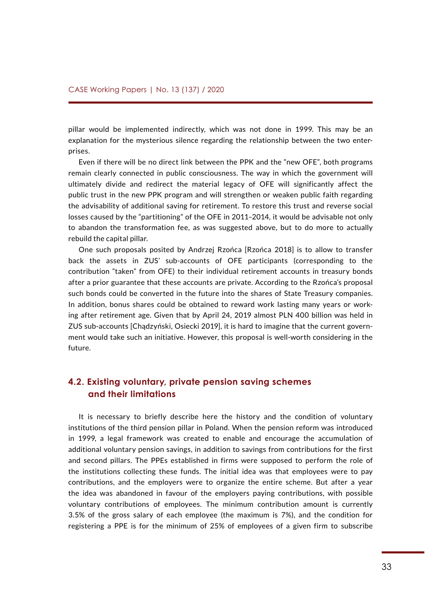<span id="page-32-0"></span>pillar would be implemented indirectly, which was not done in 1999. This may be an explanation for the mysterious silence regarding the relationship between the two enterprises.

Even if there will be no direct link between the PPK and the "new OFE", both programs remain clearly connected in public consciousness. The way in which the government will ultimately divide and redirect the material legacy of OFE will significantly affect the public trust in the new PPK program and will strengthen or weaken public faith regarding the advisability of additional saving for retirement. To restore this trust and reverse social losses caused by the "partitioning" of the OFE in 2011–2014, it would be advisable not only to abandon the transformation fee, as was suggested above, but to do more to actually rebuild the capital pillar.

One such proposals posited by Andrzej Rzońca [Rzońca 2018] is to allow to transfer back the assets in ZUS' sub-accounts of OFE participants (corresponding to the contribution "taken" from OFE) to their individual retirement accounts in treasury bonds after a prior guarantee that these accounts are private. According to the Rzońca's proposal such bonds could be converted in the future into the shares of State Treasury companies. In addition, bonus shares could be obtained to reward work lasting many years or working after retirement age. Given that by April 24, 2019 almost PLN 400 billion was held in ZUS sub-accounts [Chądzyński, Osiecki 2019], it is hard to imagine that the current government would take such an initiative. However, this proposal is well-worth considering in the future.

#### **4.2. Existing voluntary, private pension saving schemes and their limitations**

It is necessary to briefly describe here the history and the condition of voluntary institutions of the third pension pillar in Poland. When the pension reform was introduced in 1999, a legal framework was created to enable and encourage the accumulation of additional voluntary pension savings, in addition to savings from contributions for the first and second pillars. The PPEs established in firms were supposed to perform the role of the institutions collecting these funds. The initial idea was that employees were to pay contributions, and the employers were to organize the entire scheme. But after a year the idea was abandoned in favour of the employers paying contributions, with possible voluntary contributions of employees. The minimum contribution amount is currently 3.5% of the gross salary of each employee (the maximum is 7%), and the condition for registering a PPE is for the minimum of 25% of employees of a given firm to subscribe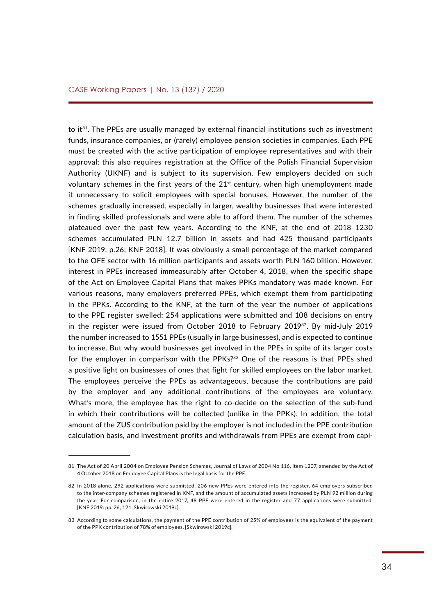to it<sup>81</sup>. The PPEs are usually managed by external financial institutions such as investment funds, insurance companies, or (rarely) employee pension societies in companies. Each PPE must be created with the active participation of employee representatives and with their approval; this also requires registration at the Office of the Polish Financial Supervision Authority (UKNF) and is subject to its supervision. Few employers decided on such voluntary schemes in the first years of the  $21<sup>st</sup>$  century, when high unemployment made it unnecessary to solicit employees with special bonuses. However, the number of the schemes gradually increased, especially in larger, wealthy businesses that were interested in finding skilled professionals and were able to afford them. The number of the schemes plateaued over the past few years. According to the KNF, at the end of 2018 1230 schemes accumulated PLN 12.7 billion in assets and had 425 thousand participants [KNF 2019: p.26; KNF 2018]. It was obviously a small percentage of the market compared to the OFE sector with 16 million participants and assets worth PLN 160 billion. However, interest in PPEs increased immeasurably after October 4, 2018, when the specific shape of the Act on Employee Capital Plans that makes PPKs mandatory was made known. For various reasons, many employers preferred PPEs, which exempt them from participating in the PPKs. According to the KNF, at the turn of the year the number of applications to the PPE register swelled: 254 applications were submitted and 108 decisions on entry in the register were issued from October 2018 to February 2019<sup>82</sup>. By mid-July 2019 the number increased to 1551 PPEs (usually in large businesses), and is expected to continue to increase. But why would businesses get involved in the PPEs in spite of its larger costs for the employer in comparison with the PPKs?83 One of the reasons is that PPEs shed a positive light on businesses of ones that fight for skilled employees on the labor market. The employees perceive the PPEs as advantageous, because the contributions are paid by the employer and any additional contributions of the employees are voluntary. What's more, the employee has the right to co-decide on the selection of the sub-fund in which their contributions will be collected (unlike in the PPKs). In addition, the total amount of the ZUS contribution paid by the employer is not included in the PPE contribution calculation basis, and investment profits and withdrawals from PPEs are exempt from capi-

<sup>81</sup> The Act of 20 April 2004 on Employee Pension Schemes, Journal of Laws of 2004 No 116, item 1207, amended by the Act of 4 October 2018 on Employee Capital Plans is the legal basis for the PPE.

<sup>82</sup> In 2018 alone, 292 applications were submitted, 206 new PPEs were entered into the register, 64 employers subscribed to the inter-company schemes registered in KNF, and the amount of accumulated assets increased by PLN 92 million during the year. For comparison, in the entire 2017, 48 PPE were entered in the register and 77 applications were submitted. [KNF 2019: pp. 26, 121; Skwirowski 2019c].

<sup>83</sup> According to some calculations, the payment of the PPE contribution of 25% of employees is the equivalent of the payment of the PPK contribution of 78% of employees. [Skwirowski 2019c].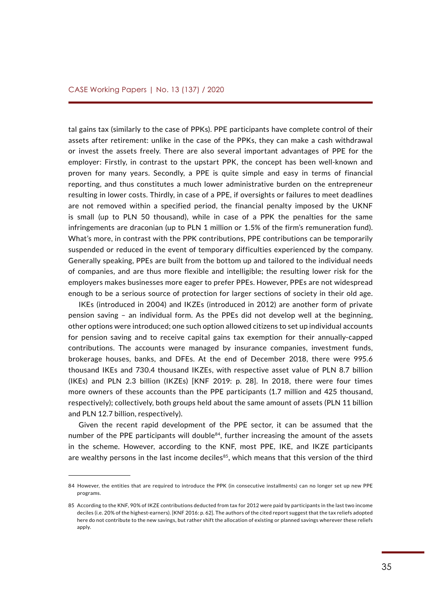tal gains tax (similarly to the case of PPKs). PPE participants have complete control of their assets after retirement: unlike in the case of the PPKs, they can make a cash withdrawal or invest the assets freely. There are also several important advantages of PPE for the employer: Firstly, in contrast to the upstart PPK, the concept has been well-known and proven for many years. Secondly, a PPE is quite simple and easy in terms of financial reporting, and thus constitutes a much lower administrative burden on the entrepreneur resulting in lower costs. Thirdly, in case of a PPE, if oversights or failures to meet deadlines are not removed within a specified period, the financial penalty imposed by the UKNF is small (up to PLN 50 thousand), while in case of a PPK the penalties for the same infringements are draconian (up to PLN 1 million or 1.5% of the firm's remuneration fund). What's more, in contrast with the PPK contributions, PPE contributions can be temporarily suspended or reduced in the event of temporary difficulties experienced by the company. Generally speaking, PPEs are built from the bottom up and tailored to the individual needs of companies, and are thus more flexible and intelligible; the resulting lower risk for the employers makes businesses more eager to prefer PPEs. However, PPEs are not widespread enough to be a serious source of protection for larger sections of society in their old age.

IKEs (introduced in 2004) and IKZEs (introduced in 2012) are another form of private pension saving – an individual form. As the PPEs did not develop well at the beginning, other options were introduced; one such option allowed citizens to set up individual accounts for pension saving and to receive capital gains tax exemption for their annually-capped contributions. The accounts were managed by insurance companies, investment funds, brokerage houses, banks, and DFEs. At the end of December 2018, there were 995.6 thousand IKEs and 730.4 thousand IKZEs, with respective asset value of PLN 8.7 billion (IKEs) and PLN 2.3 billion (IKZEs) [KNF 2019: p. 28]. In 2018, there were four times more owners of these accounts than the PPE participants (1.7 million and 425 thousand, respectively); collectively, both groups held about the same amount of assets (PLN 11 billion and PLN 12.7 billion, respectively).

Given the recent rapid development of the PPE sector, it can be assumed that the number of the PPE participants will double $84$ , further increasing the amount of the assets in the scheme. However, according to the KNF, most PPE, IKE, and IKZE participants are wealthy persons in the last income deciles<sup>85</sup>, which means that this version of the third

<sup>84</sup> However, the entities that are required to introduce the PPK (in consecutive installments) can no longer set up new PPE programs.

<sup>85</sup> According to the KNF, 90% of IKZE contributions deducted from tax for 2012 were paid by participants in the last two income deciles (i.e. 20% of the highest-earners). [KNF 2016: p. 62]. The authors of the cited report suggest that the tax reliefs adopted here do not contribute to the new savings, but rather shift the allocation of existing or planned savings wherever these reliefs apply.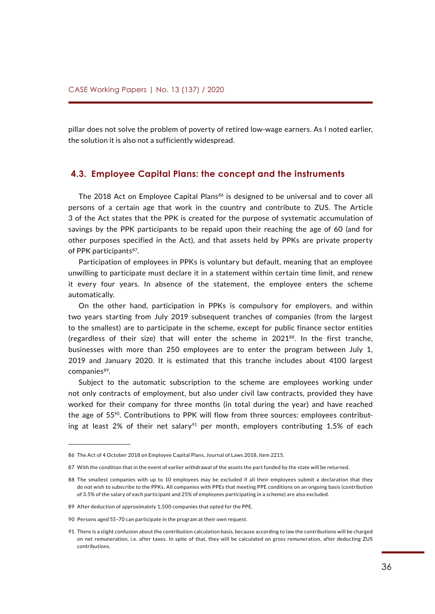<span id="page-35-0"></span>pillar does not solve the problem of poverty of retired low-wage earners. As I noted earlier, the solution it is also not a sufficiently widespread.

#### **4.3. Employee Capital Plans: the concept and the instruments**

The 2018 Act on Employee Capital Plans<sup>86</sup> is designed to be universal and to cover all persons of a certain age that work in the country and contribute to ZUS. The Article 3 of the Act states that the PPK is created for the purpose of systematic accumulation of savings by the PPK participants to be repaid upon their reaching the age of 60 (and for other purposes specified in the Act), and that assets held by PPKs are private property of PPK participants<sup>87</sup>.

Participation of employees in PPKs is voluntary but default, meaning that an employee unwilling to participate must declare it in a statement within certain time limit, and renew it every four years. In absence of the statement, the employee enters the scheme automatically.

On the other hand, participation in PPKs is compulsory for employers, and within two years starting from July 2019 subsequent tranches of companies (from the largest to the smallest) are to participate in the scheme, except for public finance sector entities (regardless of their size) that will enter the scheme in 202188. In the first tranche, businesses with more than 250 employees are to enter the program between July 1, 2019 and January 2020. It is estimated that this tranche includes about 4100 largest companies<sup>89</sup>.

Subject to the automatic subscription to the scheme are employees working under not only contracts of employment, but also under civil law contracts, provided they have worked for their company for three months (in total during the year) and have reached the age of 5590. Contributions to PPK will flow from three sources: employees contributing at least 2% of their net salary<sup>91</sup> per month, employers contributing 1.5% of each

<sup>86</sup> The Act of 4 October 2018 on Employee Capital Plans, Journal of Laws 2018, item 2215.

<sup>87</sup> With the condition that in the event of earlier withdrawal of the assets the part funded by the state will be returned.

<sup>88</sup> The smallest companies with up to 10 employees may be excluded if all their employees submit a declaration that they do not wish to subscribe to the PPKs. All companies with PPEs that meeting PPE conditions on an ongoing basis (contribution of 3.5% of the salary of each participant and 25% of employees participating in a scheme) are also excluded.

<sup>89</sup> After deduction of approximately 1,500 companies that opted for the PPE.

<sup>90</sup> Persons aged 55–70 can participate in the program at their own request.

<sup>91</sup> There is a slight confusion about the contribution calculation basis, because according to law the contributions will be charged on net remuneration, i.e. after taxes. In spite of that, they will be calculated on gross remuneration, after deducting ZUS contributions.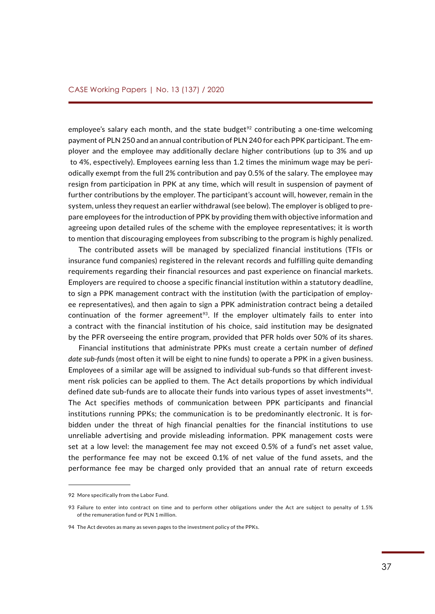employee's salary each month, and the state budget<sup>92</sup> contributing a one-time welcoming payment of PLN 250 and an annual contribution of PLN 240 for each PPK participant. The employer and the employee may additionally declare higher contributions (up to 3% and up to 4%, espectively). Employees earning less than 1.2 times the minimum wage may be periodically exempt from the full 2% contribution and pay 0.5% of the salary. The employee may resign from participation in PPK at any time, which will result in suspension of payment of further contributions by the employer. The participant's account will, however, remain in the system, unless they request an earlier withdrawal (see below). The employer is obliged to prepare employees for the introduction of PPK by providing them with objective information and agreeing upon detailed rules of the scheme with the employee representatives; it is worth to mention that discouraging employees from subscribing to the program is highly penalized.

The contributed assets will be managed by specialized financial institutions (TFIs or insurance fund companies) registered in the relevant records and fulfilling quite demanding requirements regarding their financial resources and past experience on financial markets. Employers are required to choose a specific financial institution within a statutory deadline, to sign a PPK management contract with the institution (with the participation of employee representatives), and then again to sign a PPK administration contract being a detailed continuation of the former agreement<sup>93</sup>. If the employer ultimately fails to enter into a contract with the financial institution of his choice, said institution may be designated by the PFR overseeing the entire program, provided that PFR holds over 50% of its shares.

Financial institutions that administrate PPKs must create a certain number of *defined date sub-funds* (most often it will be eight to nine funds) to operate a PPK in a given business. Employees of a similar age will be assigned to individual sub-funds so that different investment risk policies can be applied to them. The Act details proportions by which individual defined date sub-funds are to allocate their funds into various types of asset investments<sup>94</sup>. The Act specifies methods of communication between PPK participants and financial institutions running PPKs; the communication is to be predominantly electronic. It is forbidden under the threat of high financial penalties for the financial institutions to use unreliable advertising and provide misleading information. PPK management costs were set at a low level: the management fee may not exceed 0.5% of a fund's net asset value, the performance fee may not be exceed 0.1% of net value of the fund assets, and the performance fee may be charged only provided that an annual rate of return exceeds

<sup>92</sup> More specifically from the Labor Fund.

<sup>93</sup> Failure to enter into contract on time and to perform other obligations under the Act are subject to penalty of 1.5% of the remuneration fund or PLN 1 million.

<sup>94</sup> The Act devotes as many as seven pages to the investment policy of the PPKs.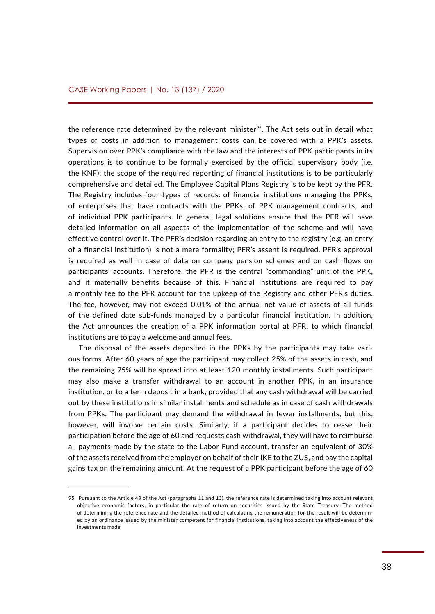the reference rate determined by the relevant minister<sup>95</sup>. The Act sets out in detail what types of costs in addition to management costs can be covered with a PPK's assets. Supervision over PPK's compliance with the law and the interests of PPK participants in its operations is to continue to be formally exercised by the official supervisory body (i.e. the KNF); the scope of the required reporting of financial institutions is to be particularly comprehensive and detailed. The Employee Capital Plans Registry is to be kept by the PFR. The Registry includes four types of records: of financial institutions managing the PPKs, of enterprises that have contracts with the PPKs, of PPK management contracts, and of individual PPK participants. In general, legal solutions ensure that the PFR will have detailed information on all aspects of the implementation of the scheme and will have effective control over it. The PFR's decision regarding an entry to the registry (e.g. an entry of a financial institution) is not a mere formality; PFR's assent is required. PFR's approval is required as well in case of data on company pension schemes and on cash flows on participants' accounts. Therefore, the PFR is the central "commanding" unit of the PPK, and it materially benefits because of this. Financial institutions are required to pay a monthly fee to the PFR account for the upkeep of the Registry and other PFR's duties. The fee, however, may not exceed 0.01% of the annual net value of assets of all funds of the defined date sub-funds managed by a particular financial institution. In addition, the Act announces the creation of a PPK information portal at PFR, to which financial institutions are to pay a welcome and annual fees.

The disposal of the assets deposited in the PPKs by the participants may take various forms. After 60 years of age the participant may collect 25% of the assets in cash, and the remaining 75% will be spread into at least 120 monthly installments. Such participant may also make a transfer withdrawal to an account in another PPK, in an insurance institution, or to a term deposit in a bank, provided that any cash withdrawal will be carried out by these institutions in similar installments and schedule as in case of cash withdrawals from PPKs. The participant may demand the withdrawal in fewer installments, but this, however, will involve certain costs. Similarly, if a participant decides to cease their participation before the age of 60 and requests cash withdrawal, they will have to reimburse all payments made by the state to the Labor Fund account, transfer an equivalent of 30% of the assets received from the employer on behalf of their IKE to the ZUS, and pay the capital gains tax on the remaining amount. At the request of a PPK participant before the age of 60

<sup>95</sup> Pursuant to the Article 49 of the Act (paragraphs 11 and 13), the reference rate is determined taking into account relevant objective economic factors, in particular the rate of return on securities issued by the State Treasury. The method of determining the reference rate and the detailed method of calculating the remuneration for the result will be determined by an ordinance issued by the minister competent for financial institutions, taking into account the effectiveness of the investments made.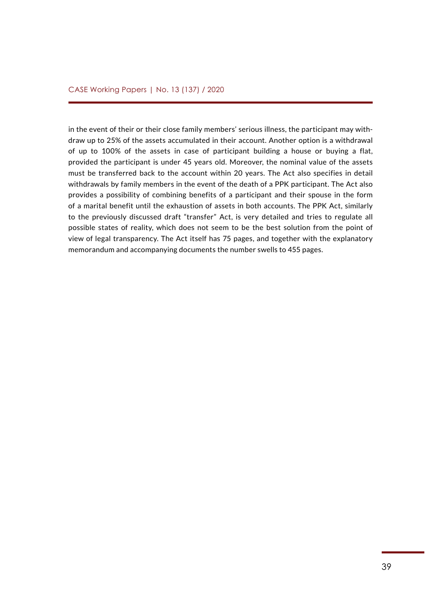in the event of their or their close family members' serious illness, the participant may withdraw up to 25% of the assets accumulated in their account. Another option is a withdrawal of up to 100% of the assets in case of participant building a house or buying a flat, provided the participant is under 45 years old. Moreover, the nominal value of the assets must be transferred back to the account within 20 years. The Act also specifies in detail withdrawals by family members in the event of the death of a PPK participant. The Act also provides a possibility of combining benefits of a participant and their spouse in the form of a marital benefit until the exhaustion of assets in both accounts. The PPK Act, similarly to the previously discussed draft "transfer" Act, is very detailed and tries to regulate all possible states of reality, which does not seem to be the best solution from the point of view of legal transparency. The Act itself has 75 pages, and together with the explanatory memorandum and accompanying documents the number swells to 455 pages.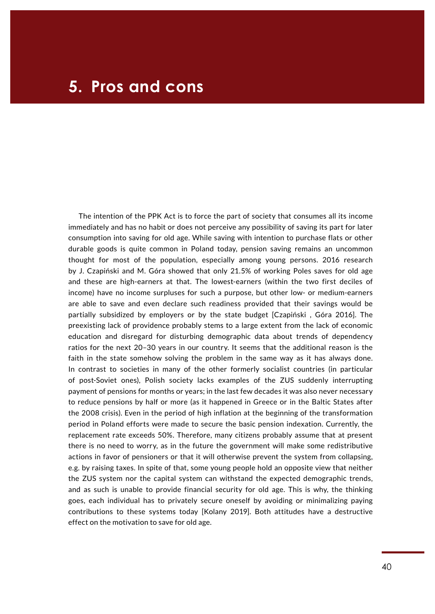### <span id="page-39-0"></span>**5. Pros and cons**

The intention of the PPK Act is to force the part of society that consumes all its income immediately and has no habit or does not perceive any possibility of saving its part for later consumption into saving for old age. While saving with intention to purchase flats or other durable goods is quite common in Poland today, pension saving remains an uncommon thought for most of the population, especially among young persons. 2016 research by J. Czapiński and M. Góra showed that only 21.5% of working Poles saves for old age and these are high-earners at that. The lowest-earners (within the two first deciles of income) have no income surpluses for such a purpose, but other low- or medium-earners are able to save and even declare such readiness provided that their savings would be partially subsidized by employers or by the state budget [Czapiński , Góra 2016]. The preexisting lack of providence probably stems to a large extent from the lack of economic education and disregard for disturbing demographic data about trends of dependency ratios for the next 20–30 years in our country. It seems that the additional reason is the faith in the state somehow solving the problem in the same way as it has always done. In contrast to societies in many of the other formerly socialist countries (in particular of post-Soviet ones), Polish society lacks examples of the ZUS suddenly interrupting payment of pensions for months or years; in the last few decades it was also never necessary to reduce pensions by half or more (as it happened in Greece or in the Baltic States after the 2008 crisis). Even in the period of high inflation at the beginning of the transformation period in Poland efforts were made to secure the basic pension indexation. Currently, the replacement rate exceeds 50%. Therefore, many citizens probably assume that at present there is no need to worry, as in the future the government will make some redistributive actions in favor of pensioners or that it will otherwise prevent the system from collapsing, e.g. by raising taxes. In spite of that, some young people hold an opposite view that neither the ZUS system nor the capital system can withstand the expected demographic trends, and as such is unable to provide financial security for old age. This is why, the thinking goes, each individual has to privately secure oneself by avoiding or minimalizing paying contributions to these systems today [Kolany 2019]. Both attitudes have a destructive effect on the motivation to save for old age.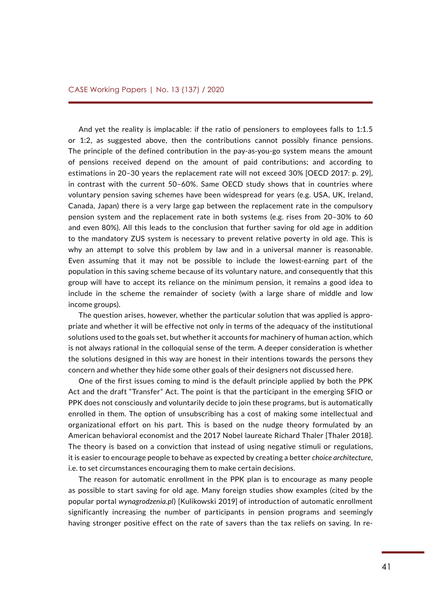And yet the reality is implacable: if the ratio of pensioners to employees falls to 1:1.5 or 1:2, as suggested above, then the contributions cannot possibly finance pensions. The principle of the defined contribution in the pay-as-you-go system means the amount of pensions received depend on the amount of paid contributions; and according to estimations in 20–30 years the replacement rate will not exceed 30% [OECD 2017: p. 29], in contrast with the current 50–60%. Same OECD study shows that in countries where voluntary pension saving schemes have been widespread for years (e.g. USA, UK, Ireland, Canada, Japan) there is a very large gap between the replacement rate in the compulsory pension system and the replacement rate in both systems (e.g. rises from 20–30% to 60 and even 80%). All this leads to the conclusion that further saving for old age in addition to the mandatory ZUS system is necessary to prevent relative poverty in old age. This is why an attempt to solve this problem by law and in a universal manner is reasonable. Even assuming that it may not be possible to include the lowest-earning part of the population in this saving scheme because of its voluntary nature, and consequently that this group will have to accept its reliance on the minimum pension, it remains a good idea to include in the scheme the remainder of society (with a large share of middle and low income groups).

The question arises, however, whether the particular solution that was applied is appropriate and whether it will be effective not only in terms of the adequacy of the institutional solutions used to the goals set, but whether it accounts for machinery of human action, which is not always rational in the colloquial sense of the term. A deeper consideration is whether the solutions designed in this way are honest in their intentions towards the persons they concern and whether they hide some other goals of their designers not discussed here.

One of the first issues coming to mind is the default principle applied by both the PPK Act and the draft "Transfer" Act. The point is that the participant in the emerging SFIO or PPK does not consciously and voluntarily decide to join these programs, but is automatically enrolled in them. The option of unsubscribing has a cost of making some intellectual and organizational effort on his part. This is based on the nudge theory formulated by an American behavioral economist and the 2017 Nobel laureate Richard Thaler [Thaler 2018]. The theory is based on a conviction that instead of using negative stimuli or regulations, it is easier to encourage people to behave as expected by creating a better *choice architecture*, i.e. to set circumstances encouraging them to make certain decisions.

The reason for automatic enrollment in the PPK plan is to encourage as many people as possible to start saving for old age. Many foreign studies show examples (cited by the popular portal *wynagrodzenia.pl*) [Kulikowski 2019] of introduction of automatic enrollment significantly increasing the number of participants in pension programs and seemingly having stronger positive effect on the rate of savers than the tax reliefs on saving. In re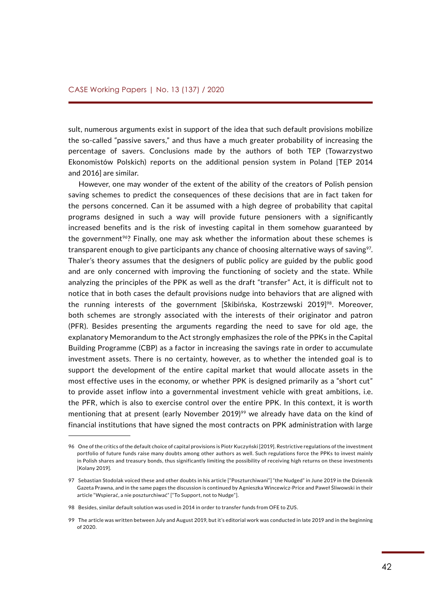sult, numerous arguments exist in support of the idea that such default provisions mobilize the so-called "passive savers," and thus have a much greater probability of increasing the percentage of savers. Conclusions made by the authors of both TEP (Towarzystwo Ekonomistów Polskich) reports on the additional pension system in Poland [TEP 2014 and 2016] are similar.

However, one may wonder of the extent of the ability of the creators of Polish pension saving schemes to predict the consequences of these decisions that are in fact taken for the persons concerned. Can it be assumed with a high degree of probability that capital programs designed in such a way will provide future pensioners with a significantly increased benefits and is the risk of investing capital in them somehow guaranteed by the government<sup>96</sup>? Finally, one may ask whether the information about these schemes is transparent enough to give participants any chance of choosing alternative ways of saving<sup>97</sup>. Thaler's theory assumes that the designers of public policy are guided by the public good and are only concerned with improving the functioning of society and the state. While analyzing the principles of the PPK as well as the draft "transfer" Act, it is difficult not to notice that in both cases the default provisions nudge into behaviors that are aligned with the running interests of the government [Skibińska, Kostrzewski 2019]<sup>98</sup>. Moreover, both schemes are strongly associated with the interests of their originator and patron (PFR). Besides presenting the arguments regarding the need to save for old age, the explanatory Memorandum to the Act strongly emphasizes the role of the PPKs in the Capital Building Programme (CBP) as a factor in increasing the savings rate in order to accumulate investment assets. There is no certainty, however, as to whether the intended goal is to support the development of the entire capital market that would allocate assets in the most effective uses in the economy, or whether PPK is designed primarily as a "short cut" to provide asset inflow into a governmental investment vehicle with great ambitions, i.e. the PFR, which is also to exercise control over the entire PPK. In this context, it is worth mentioning that at present (early November 2019)<sup>99</sup> we already have data on the kind of financial institutions that have signed the most contracts on PPK administration with large

<sup>96</sup> One of the critics of the default choice of capital provisions is Piotr Kuczyński [2019]. Restrictive regulations of the investment portfolio of future funds raise many doubts among other authors as well. Such regulations force the PPKs to invest mainly in Polish shares and treasury bonds, thus significantly limiting the possibility of receiving high returns on these investments [Kolany 2019].

<sup>97</sup> Sebastian Stodolak voiced these and other doubts in his article ["Poszturchiwani"] "the Nudged" in June 2019 in the Dziennik Gazeta Prawna, and in the same pages the discussion is continued by Agnieszka Wincewicz-Price and Paweł Śliwowski in their article "Wspierać, a nie poszturchiwać" ["To Support, not to Nudge"].

<sup>98</sup> Besides, similar default solution was used in 2014 in order to transfer funds from OFE to ZUS.

<sup>99</sup> The article was written between July and August 2019, but it's editorial work was conducted in late 2019 and in the beginning of 2020.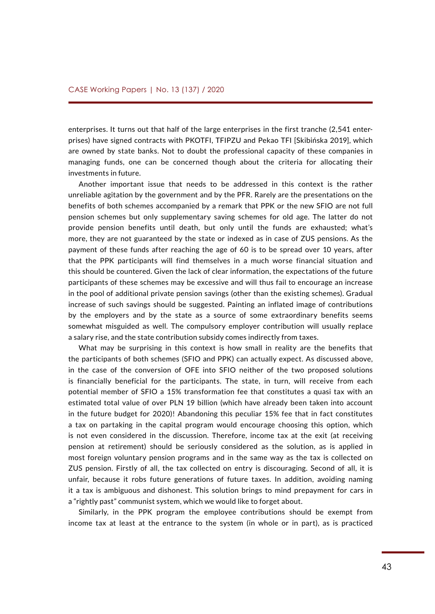enterprises. It turns out that half of the large enterprises in the first tranche (2,541 enterprises) have signed contracts with PKOTFI, TFIPZU and Pekao TFI [Skibińska 2019], which are owned by state banks. Not to doubt the professional capacity of these companies in managing funds, one can be concerned though about the criteria for allocating their investments in future.

Another important issue that needs to be addressed in this context is the rather unreliable agitation by the government and by the PFR. Rarely are the presentations on the benefits of both schemes accompanied by a remark that PPK or the new SFIO are not full pension schemes but only supplementary saving schemes for old age. The latter do not provide pension benefits until death, but only until the funds are exhausted; what's more, they are not guaranteed by the state or indexed as in case of ZUS pensions. As the payment of these funds after reaching the age of 60 is to be spread over 10 years, after that the PPK participants will find themselves in a much worse financial situation and this should be countered. Given the lack of clear information, the expectations of the future participants of these schemes may be excessive and will thus fail to encourage an increase in the pool of additional private pension savings (other than the existing schemes). Gradual increase of such savings should be suggested. Painting an inflated image of contributions by the employers and by the state as a source of some extraordinary benefits seems somewhat misguided as well. The compulsory employer contribution will usually replace a salary rise, and the state contribution subsidy comes indirectly from taxes.

What may be surprising in this context is how small in reality are the benefits that the participants of both schemes (SFIO and PPK) can actually expect. As discussed above, in the case of the conversion of OFE into SFIO neither of the two proposed solutions is financially beneficial for the participants. The state, in turn, will receive from each potential member of SFIO a 15% transformation fee that constitutes a quasi tax with an estimated total value of over PLN 19 billion (which have already been taken into account in the future budget for 2020)! Abandoning this peculiar 15% fee that in fact constitutes a tax on partaking in the capital program would encourage choosing this option, which is not even considered in the discussion. Therefore, income tax at the exit (at receiving pension at retirement) should be seriously considered as the solution, as is applied in most foreign voluntary pension programs and in the same way as the tax is collected on ZUS pension. Firstly of all, the tax collected on entry is discouraging. Second of all, it is unfair, because it robs future generations of future taxes. In addition, avoiding naming it a tax is ambiguous and dishonest. This solution brings to mind prepayment for cars in a "rightly past" communist system, which we would like to forget about.

Similarly, in the PPK program the employee contributions should be exempt from income tax at least at the entrance to the system (in whole or in part), as is practiced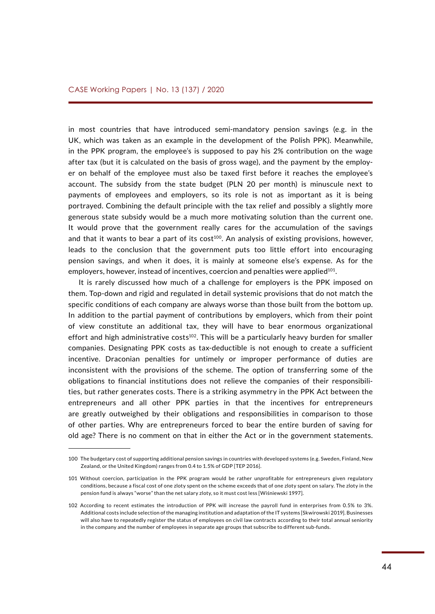in most countries that have introduced semi-mandatory pension savings (e.g. in the UK, which was taken as an example in the development of the Polish PPK). Meanwhile, in the PPK program, the employee's is supposed to pay his 2% contribution on the wage after tax (but it is calculated on the basis of gross wage), and the payment by the employer on behalf of the employee must also be taxed first before it reaches the employee's account. The subsidy from the state budget (PLN 20 per month) is minuscule next to payments of employees and employers, so its role is not as important as it is being portrayed. Combining the default principle with the tax relief and possibly a slightly more generous state subsidy would be a much more motivating solution than the current one. It would prove that the government really cares for the accumulation of the savings and that it wants to bear a part of its cost<sup>100</sup>. An analysis of existing provisions, however, leads to the conclusion that the government puts too little effort into encouraging pension savings, and when it does, it is mainly at someone else's expense. As for the employers, however, instead of incentives, coercion and penalties were applied $101$ .

It is rarely discussed how much of a challenge for employers is the PPK imposed on them. Top-down and rigid and regulated in detail systemic provisions that do not match the specific conditions of each company are always worse than those built from the bottom up. In addition to the partial payment of contributions by employers, which from their point of view constitute an additional tax, they will have to bear enormous organizational effort and high administrative costs<sup>102</sup>. This will be a particularly heavy burden for smaller companies. Designating PPK costs as tax-deductible is not enough to create a sufficient incentive. Draconian penalties for untimely or improper performance of duties are inconsistent with the provisions of the scheme. The option of transferring some of the obligations to financial institutions does not relieve the companies of their responsibilities, but rather generates costs. There is a striking asymmetry in the PPK Act between the entrepreneurs and all other PPK parties in that the incentives for entrepreneurs are greatly outweighed by their obligations and responsibilities in comparison to those of other parties. Why are entrepreneurs forced to bear the entire burden of saving for old age? There is no comment on that in either the Act or in the government statements.

<sup>100</sup> The budgetary cost of supporting additional pension savings in countries with developed systems (e.g. Sweden, Finland, New Zealand, or the United Kingdom) ranges from 0.4 to 1.5% of GDP [TEP 2016].

<sup>101</sup> Without coercion, participation in the PPK program would be rather unprofitable for entrepreneurs given regulatory conditions, because a fiscal cost of one zloty spent on the scheme exceeds that of one zloty spent on salary. The zloty in the pension fund is always "worse" than the net salary zloty, so it must cost less [Wiśniewski 1997].

<sup>102</sup> According to recent estimates the introduction of PPK will increase the payroll fund in enterprises from 0.5% to 3%. Additional costs include selection of the managing institution and adaptation of the IT systems [Skwirowski 2019]. Businesses will also have to repeatedly register the status of employees on civil law contracts according to their total annual seniority in the company and the number of employees in separate age groups that subscribe to different sub-funds.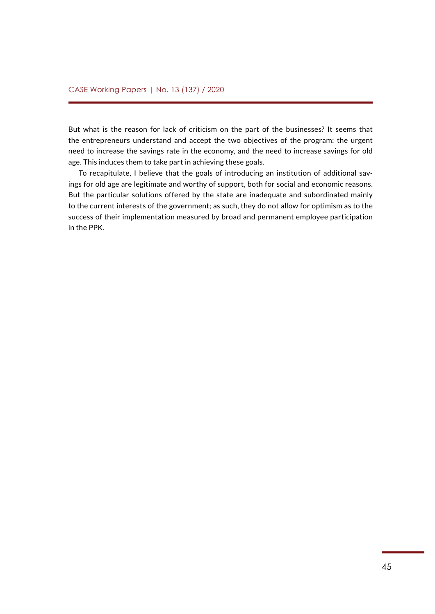But what is the reason for lack of criticism on the part of the businesses? It seems that the entrepreneurs understand and accept the two objectives of the program: the urgent need to increase the savings rate in the economy, and the need to increase savings for old age. This induces them to take part in achieving these goals.

To recapitulate, I believe that the goals of introducing an institution of additional savings for old age are legitimate and worthy of support, both for social and economic reasons. But the particular solutions offered by the state are inadequate and subordinated mainly to the current interests of the government; as such, they do not allow for optimism as to the success of their implementation measured by broad and permanent employee participation in the PPK.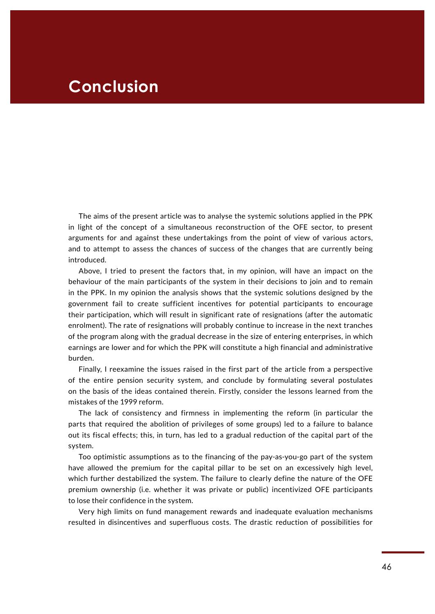### <span id="page-45-0"></span>**Conclusion**

The aims of the present article was to analyse the systemic solutions applied in the PPK in light of the concept of a simultaneous reconstruction of the OFE sector, to present arguments for and against these undertakings from the point of view of various actors, and to attempt to assess the chances of success of the changes that are currently being introduced.

Above, I tried to present the factors that, in my opinion, will have an impact on the behaviour of the main participants of the system in their decisions to join and to remain in the PPK. In my opinion the analysis shows that the systemic solutions designed by the government fail to create sufficient incentives for potential participants to encourage their participation, which will result in significant rate of resignations (after the automatic enrolment). The rate of resignations will probably continue to increase in the next tranches of the program along with the gradual decrease in the size of entering enterprises, in which earnings are lower and for which the PPK will constitute a high financial and administrative burden.

Finally, I reexamine the issues raised in the first part of the article from a perspective of the entire pension security system, and conclude by formulating several postulates on the basis of the ideas contained therein. Firstly, consider the lessons learned from the mistakes of the 1999 reform.

The lack of consistency and firmness in implementing the reform (in particular the parts that required the abolition of privileges of some groups) led to a failure to balance out its fiscal effects; this, in turn, has led to a gradual reduction of the capital part of the system.

Too optimistic assumptions as to the financing of the pay-as-you-go part of the system have allowed the premium for the capital pillar to be set on an excessively high level, which further destabilized the system. The failure to clearly define the nature of the OFE premium ownership (i.e. whether it was private or public) incentivized OFE participants to lose their confidence in the system.

Very high limits on fund management rewards and inadequate evaluation mechanisms resulted in disincentives and superfluous costs. The drastic reduction of possibilities for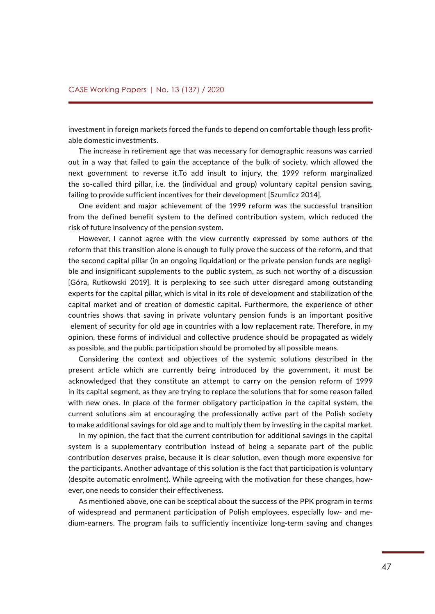investment in foreign markets forced the funds to depend on comfortable though less profitable domestic investments.

The increase in retirement age that was necessary for demographic reasons was carried out in a way that failed to gain the acceptance of the bulk of society, which allowed the next government to reverse it.To add insult to injury, the 1999 reform marginalized the so-called third pillar, i.e. the (individual and group) voluntary capital pension saving, failing to provide sufficient incentives for their development [Szumlicz 2014].

One evident and major achievement of the 1999 reform was the successful transition from the defined benefit system to the defined contribution system, which reduced the risk of future insolvency of the pension system.

However, I cannot agree with the view currently expressed by some authors of the reform that this transition alone is enough to fully prove the success of the reform, and that the second capital pillar (in an ongoing liquidation) or the private pension funds are negligible and insignificant supplements to the public system, as such not worthy of a discussion [Góra, Rutkowski 2019]. It is perplexing to see such utter disregard among outstanding experts for the capital pillar, which is vital in its role of development and stabilization of the capital market and of creation of domestic capital. Furthermore, the experience of other countries shows that saving in private voluntary pension funds is an important positive element of security for old age in countries with a low replacement rate. Therefore, in my opinion, these forms of individual and collective prudence should be propagated as widely as possible, and the public participation should be promoted by all possible means.

Considering the context and objectives of the systemic solutions described in the present article which are currently being introduced by the government, it must be acknowledged that they constitute an attempt to carry on the pension reform of 1999 in its capital segment, as they are trying to replace the solutions that for some reason failed with new ones. In place of the former obligatory participation in the capital system, the current solutions aim at encouraging the professionally active part of the Polish society to make additional savings for old age and to multiply them by investing in the capital market.

In my opinion, the fact that the current contribution for additional savings in the capital system is a supplementary contribution instead of being a separate part of the public contribution deserves praise, because it is clear solution, even though more expensive for the participants. Another advantage of this solution is the fact that participation is voluntary (despite automatic enrolment). While agreeing with the motivation for these changes, however, one needs to consider their effectiveness.

As mentioned above, one can be sceptical about the success of the PPK program in terms of widespread and permanent participation of Polish employees, especially low- and medium-earners. The program fails to sufficiently incentivize long-term saving and changes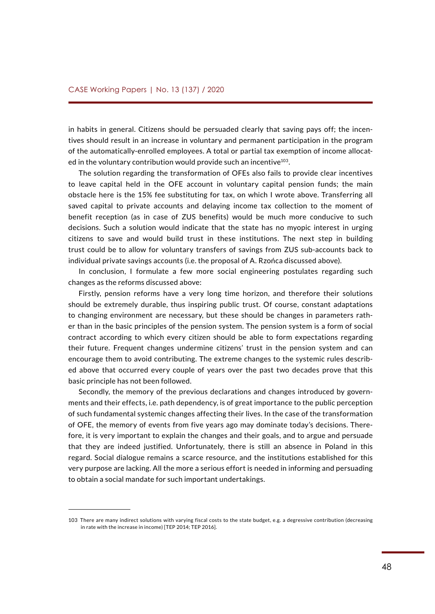in habits in general. Citizens should be persuaded clearly that saving pays off; the incentives should result in an increase in voluntary and permanent participation in the program of the automatically-enrolled employees. A total or partial tax exemption of income allocated in the voluntary contribution would provide such an incentive<sup>103</sup>.

The solution regarding the transformation of OFEs also fails to provide clear incentives to leave capital held in the OFE account in voluntary capital pension funds; the main obstacle here is the 15% fee substituting for tax, on which I wrote above. Transferring all saved capital to private accounts and delaying income tax collection to the moment of benefit reception (as in case of ZUS benefits) would be much more conducive to such decisions. Such a solution would indicate that the state has no myopic interest in urging citizens to save and would build trust in these institutions. The next step in building trust could be to allow for voluntary transfers of savings from ZUS sub-accounts back to individual private savings accounts (i.e. the proposal of A. Rzońca discussed above).

In conclusion, I formulate a few more social engineering postulates regarding such changes as the reforms discussed above:

Firstly, pension reforms have a very long time horizon, and therefore their solutions should be extremely durable, thus inspiring public trust. Of course, constant adaptations to changing environment are necessary, but these should be changes in parameters rather than in the basic principles of the pension system. The pension system is a form of social contract according to which every citizen should be able to form expectations regarding their future. Frequent changes undermine citizens' trust in the pension system and can encourage them to avoid contributing. The extreme changes to the systemic rules described above that occurred every couple of years over the past two decades prove that this basic principle has not been followed.

Secondly, the memory of the previous declarations and changes introduced by governments and their effects, i.e. path dependency, is of great importance to the public perception of such fundamental systemic changes affecting their lives. In the case of the transformation of OFE, the memory of events from five years ago may dominate today's decisions. Therefore, it is very important to explain the changes and their goals, and to argue and persuade that they are indeed justified. Unfortunately, there is still an absence in Poland in this regard. Social dialogue remains a scarce resource, and the institutions established for this very purpose are lacking. All the more a serious effort is needed in informing and persuading to obtain a social mandate for such important undertakings.

<sup>103</sup> There are many indirect solutions with varying fiscal costs to the state budget, e.g. a degressive contribution (decreasing in rate with the increase in income) [TEP 2014; TEP 2016].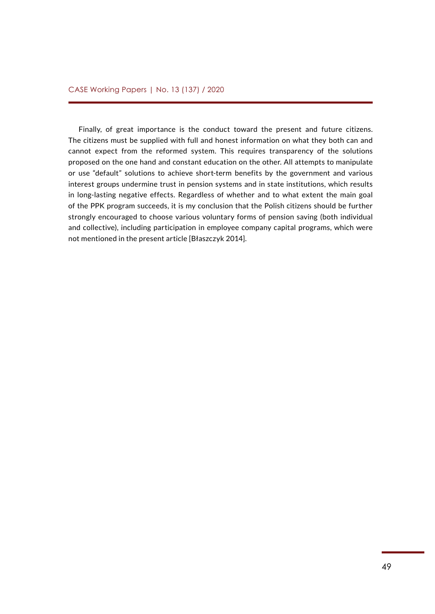Finally, of great importance is the conduct toward the present and future citizens. The citizens must be supplied with full and honest information on what they both can and cannot expect from the reformed system. This requires transparency of the solutions proposed on the one hand and constant education on the other. All attempts to manipulate or use "default" solutions to achieve short-term benefits by the government and various interest groups undermine trust in pension systems and in state institutions, which results in long-lasting negative effects. Regardless of whether and to what extent the main goal of the PPK program succeeds, it is my conclusion that the Polish citizens should be further strongly encouraged to choose various voluntary forms of pension saving (both individual and collective), including participation in employee company capital programs, which were not mentioned in the present article [Błaszczyk 2014].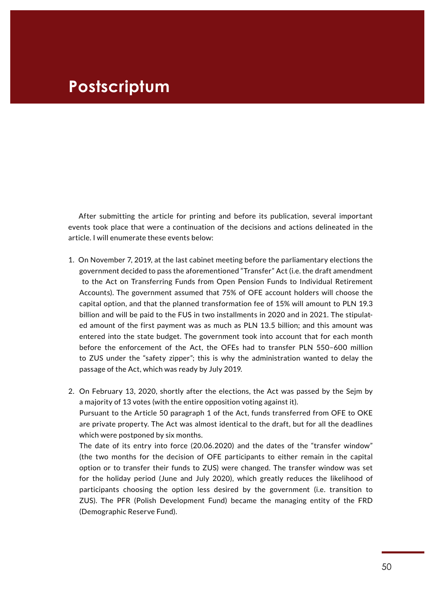### <span id="page-49-0"></span>**Postscriptum**

After submitting the article for printing and before its publication, several important events took place that were a continuation of the decisions and actions delineated in the article. I will enumerate these events below:

- 1. On November 7, 2019, at the last cabinet meeting before the parliamentary elections the government decided to pass the aforementioned "Transfer" Act (i.e. the draft amendment to the Act on Transferring Funds from Open Pension Funds to Individual Retirement Accounts). The government assumed that 75% of OFE account holders will choose the capital option, and that the planned transformation fee of 15% will amount to PLN 19.3 billion and will be paid to the FUS in two installments in 2020 and in 2021. The stipulated amount of the first payment was as much as PLN 13.5 billion; and this amount was entered into the state budget. The government took into account that for each month before the enforcement of the Act, the OFEs had to transfer PLN 550–600 million to ZUS under the "safety zipper"; this is why the administration wanted to delay the passage of the Act, which was ready by July 2019.
- 2. On February 13, 2020, shortly after the elections, the Act was passed by the Sejm by a majority of 13 votes (with the entire opposition voting against it). Pursuant to the Article 50 paragraph 1 of the Act, funds transferred from OFE to OKE are private property. The Act was almost identical to the draft, but for all the deadlines which were postponed by six months. The date of its entry into force (20.06.2020) and the dates of the "transfer window" (the two months for the decision of OFE participants to either remain in the capital

option or to transfer their funds to ZUS) were changed. The transfer window was set for the holiday period (June and July 2020), which greatly reduces the likelihood of participants choosing the option less desired by the government (i.e. transition to ZUS). The PFR (Polish Development Fund) became the managing entity of the FRD (Demographic Reserve Fund).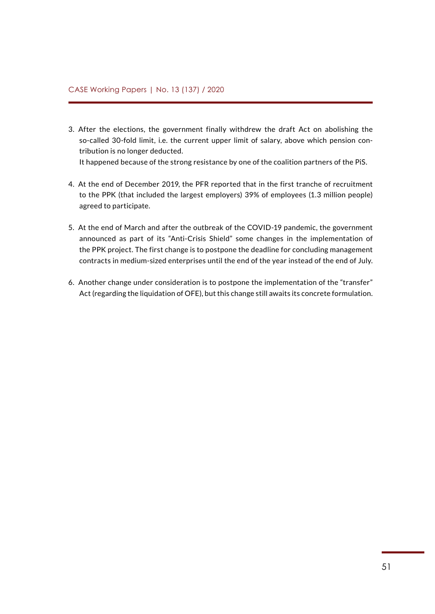- 3. After the elections, the government finally withdrew the draft Act on abolishing the so-called 30-fold limit, i.e. the current upper limit of salary, above which pension contribution is no longer deducted. It happened because of the strong resistance by one of the coalition partners of the PiS.
- 4. At the end of December 2019, the PFR reported that in the first tranche of recruitment to the PPK (that included the largest employers) 39% of employees (1.3 million people) agreed to participate.
- 5. At the end of March and after the outbreak of the COVID-19 pandemic, the government announced as part of its "Anti-Crisis Shield" some changes in the implementation of the PPK project. The first change is to postpone the deadline for concluding management contracts in medium-sized enterprises until the end of the year instead of the end of July.
- 6. Another change under consideration is to postpone the implementation of the "transfer" Act (regarding the liquidation of OFE), but this change still awaits its concrete formulation.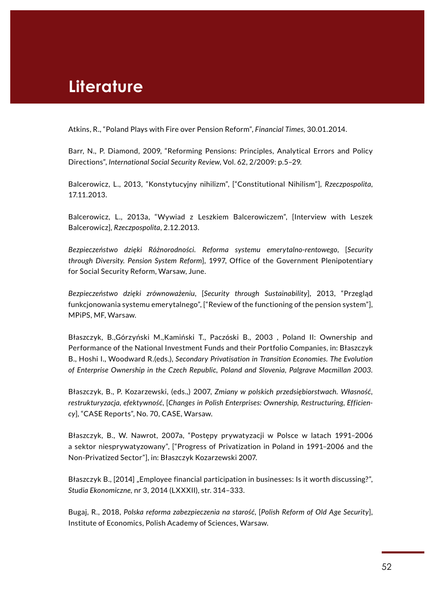### <span id="page-51-0"></span>**Literature**

Atkins, R., "Poland Plays with Fire over Pension Reform", *Financial Times*, 30.01.2014.

Barr, N., P. Diamond, 2009, "Reforming Pensions: Principles, Analytical Errors and Policy Directions", *International Social Security Review*, Vol. 62, 2/2009: p.5–29*.*

Balcerowicz, L., 2013, "Konstytucyjny nihilizm", ["Constitutional Nihilism"], *Rzeczpospolita*, 17.11.2013.

Balcerowicz, L., 2013a, "Wywiad z Leszkiem Balcerowiczem", [Interview with Leszek Balcerowicz], *Rzeczpospolita*, 2.12.2013.

*Bezpieczeństwo dzięki Różnorodności. Reforma systemu emerytalno-rentowego*, [*Security through Diversity. Pension System Reform*], 1997, Office of the Government Plenipotentiary for Social Security Reform, Warsaw, June.

*Bezpieczeństwo dzięki zrównoważeniu*, [*Security through Sustainability*], 2013, "Przegląd funkcjonowania systemu emerytalnego", ["Review of the functioning of the pension system"], MPiPS, MF, Warsaw.

Błaszczyk, B.,Górzyński M.,Kamiński T., Paczóski B., 2003 , Poland II: Ownership and Performance of the National Investment Funds and their Portfolio Companies, in: Błaszczyk B., Hoshi I., Woodward R.(eds.), *Secondary Privatisation in Transition Economies. The Evolution of Enterprise Ownership in the Czech Republic, Poland and Slovenia, Palgrave Macmillan 2003.*

Błaszczyk, B., P. Kozarzewski, (eds.,) 2007, *Zmiany w polskich przedsiębiorstwach. Własność, restrukturyzacja, efektywność,* [*Changes in Polish Enterprises: Ownership, Restructuring, Efficiency*], "CASE Reports", No. 70, CASE, Warsaw.

Błaszczyk, B., W. Nawrot, 2007a, "Postępy prywatyzacji w Polsce w latach 1991–2006 a sektor niesprywatyzowany", ["Progress of Privatization in Poland in 1991–2006 and the Non-Privatized Sector"], in: Błaszczyk Kozarzewski 2007.

Błaszczyk B., [2014] "Employee financial participation in businesses: Is it worth discussing?", *Studia Ekonomiczne,* nr 3, 2014 (LXXXII), str. 314–333.

Bugaj, R., 2018, *Polska reforma zabezpieczenia na starość,* [*Polish Reform of Old Age Security*], Institute of Economics, Polish Academy of Sciences, Warsaw.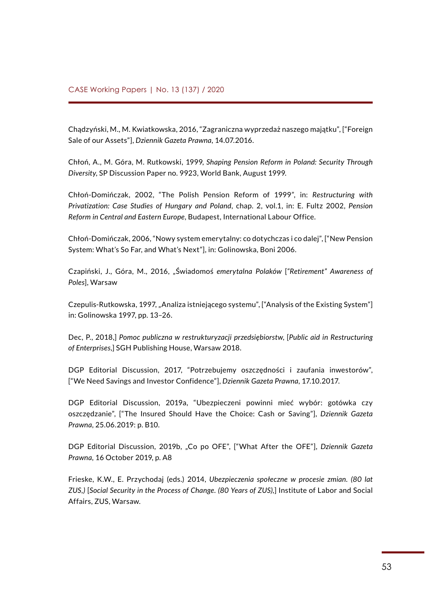Chądzyński, M., M. Kwiatkowska, 2016, "Zagraniczna wyprzedaż naszego majątku", ["Foreign Sale of our Assets"], *Dziennik Gazeta Prawna*, 14.07.2016.

Chłoń, A., M. Góra, M. Rutkowski, 1999, *Shaping Pension Reform in Poland: Security Through Diversity*, SP Discussion Paper no. 9923, World Bank, August 1999.

Chłoń-Domińczak, 2002, "The Polish Pension Reform of 1999", in: *Restructuring with Privatization: Case Studies of Hungary and Poland*, chap. 2, vol.1, in: E. Fultz 2002, *Pension Reform in Central and Eastern Europe*, Budapest, International Labour Office.

Chłoń-Domińczak, 2006, "Nowy system emerytalny: co dotychczas i co dalej", ["New Pension System: What's So Far, and What's Next"], in: Golinowska, Boni 2006.

Czapiński, J., Góra, M., 2016, "Świadomoś *emerytalna Polaków* [*"Retirement" Awareness of Poles*], Warsaw

Czepulis-Rutkowska, 1997, "Analiza istniejącego systemu", ["Analysis of the Existing System"] in: Golinowska 1997, pp. 13–26.

Dec, P., 2018,] *Pomoc publiczna w restrukturyzacji przedsiębiorstw*, [*Public aid in Restructuring of Enterprises*,] SGH Publishing House, Warsaw 2018.

DGP Editorial Discussion, 2017, "Potrzebujemy oszczędności i zaufania inwestorów", ["We Need Savings and Investor Confidence"], *Dziennik Gazeta Prawna*, 17.10.2017.

DGP Editorial Discussion, 2019a, "Ubezpieczeni powinni mieć wybór: gotówka czy oszczędzanie", ["The Insured Should Have the Choice: Cash or Saving"], *Dziennik Gazeta Prawna*, 25.06.2019: p. B10.

DGP Editorial Discussion, 2019b, "Co po OFE", ["What After the OFE"], *Dziennik Gazeta Prawna,* 16 October 2019, p. A8

Frieske, K.W., E. Przychodaj (eds.) 2014, *Ubezpieczenia społeczne w procesie zmian. (80 lat ZUS,)* [*Social Security in the Process of Change. (80 Years of ZUS),*] Institute of Labor and Social Affairs, ZUS, Warsaw.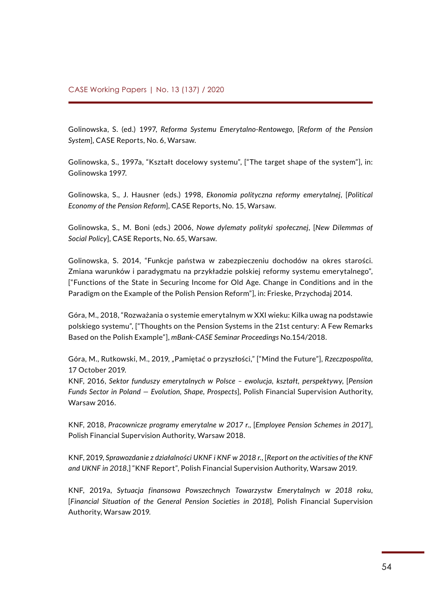Golinowska, S. (ed.) 1997, *Reforma Systemu Emerytalno-Rentowego*, [*Reform of the Pension System*], CASE Reports, No. 6, Warsaw.

Golinowska, S., 1997a, "Kształt docelowy systemu", ["The target shape of the system"], in: Golinowska 1997.

Golinowska, S., J. Hausner (eds.) 1998, *Ekonomia polityczna reformy emerytalnej*, [*Political Economy of the Pension Reform*], CASE Reports, No. 15, Warsaw.

Golinowska, S., M. Boni (eds.) 2006, *Nowe dylematy polityki społecznej*, [*New Dilemmas of Social Policy*], CASE Reports, No. 65, Warsaw.

Golinowska, S. 2014, "Funkcje państwa w zabezpieczeniu dochodów na okres starości. Zmiana warunków i paradygmatu na przykładzie polskiej reformy systemu emerytalnego", ["Functions of the State in Securing Income for Old Age. Change in Conditions and in the Paradigm on the Example of the Polish Pension Reform"], in: Frieske, Przychodaj 2014.

Góra, M., 2018, "Rozważania o systemie emerytalnym w XXI wieku: Kilka uwag na podstawie polskiego systemu", ["Thoughts on the Pension Systems in the 21st century: A Few Remarks Based on the Polish Example"], *mBank-CASE Seminar Proceedings* No.154/2018.

Góra, M., Rutkowski, M., 2019, "Pamiętać o przyszłości," ["Mind the Future"], *Rzeczpospolita*, 17 October 2019.

KNF, 2016, *Sektor funduszy emerytalnych w Polsce – ewolucja, kształt, perspektywy*, [*Pension Funds Sector in Poland — Evolution, Shape, Prospects*], Polish Financial Supervision Authority, Warsaw 2016.

KNF, 2018, *Pracownicze programy emerytalne w 2017 r*., [*Employee Pension Schemes in 2017*], Polish Financial Supervision Authority, Warsaw 2018.

KNF, 2019, *Sprawozdanie z działalności UKNF i KNF w 2018 r.*, [*Report on the activities of the KNF and UKNF in 2018*,] "KNF Report", Polish Financial Supervision Authority, Warsaw 2019.

KNF, 2019a, *Sytuacja finansowa Powszechnych Towarzystw Emerytalnych w 2018 roku*, [*Financial Situation of the General Pension Societies in 2018*], Polish Financial Supervision Authority, Warsaw 2019.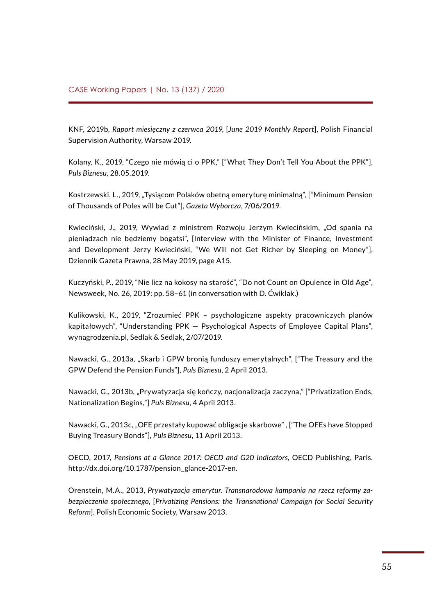KNF, 2019b, *Raport miesięczny z czerwca 2019*, [*June 2019 Monthly Report*], Polish Financial Supervision Authority, Warsaw 2019.

Kolany, K., 2019, "Czego nie mówią ci o PPK," ["What They Don't Tell You About the PPK"], *Puls Biznesu*, 28.05.2019.

Kostrzewski, L., 2019, "Tysiącom Polaków obetną emeryturę minimalną", ["Minimum Pension of Thousands of Poles will be Cut"], *Gazeta Wyborcza*, 7/06/2019.

Kwieciński, J., 2019, Wywiad z ministrem Rozwoju Jerzym Kwiecińskim, "Od spania na pieniądzach nie będziemy bogatsi", [Interview with the Minister of Finance, Investment and Development Jerzy Kwieciński, "We Will not Get Richer by Sleeping on Money"], Dziennik Gazeta Prawna, 28 May 2019, page A15.

Kuczyński, P., 2019, "Nie licz na kokosy na starość", "Do not Count on Opulence in Old Age", Newsweek, No. 26, 2019: pp. 58–61 (in conversation with D. Ćwiklak.)

Kulikowski, K., 2019, "Zrozumieć PPK – psychologiczne aspekty pracowniczych planów kapitałowych", "Understanding PPK — Psychological Aspects of Employee Capital Plans", wynagrodzenia.pl, Sedlak & Sedlak, 2/07/2019.

Nawacki, G., 2013a, "Skarb i GPW bronią funduszy emerytalnych", ["The Treasury and the GPW Defend the Pension Funds"], *Puls Biznesu*, 2 April 2013.

Nawacki, G., 2013b, "Prywatyzacja się kończy, nacjonalizacja zaczyna," ["Privatization Ends, Nationalization Begins,"] *Puls Biznesu*, 4 April 2013.

Nawacki, G., 2013c, "OFE przestały kupować obligacje skarbowe" , ["The OFEs have Stopped Buying Treasury Bonds"], *Puls Biznesu*, 11 April 2013.

OECD, 2017, *Pensions at a Glance 2017: OECD and G20 Indicators*, OECD Publishing, Paris. [http://dx.doi.org/10.1787/pension\\_glance-2017-en](http://dx.doi.org/10.1787/pension_glance-2017-en).

Orenstein, M.A., 2013, *Prywatyzacja emerytur. Transnarodowa kampania na rzecz reformy zabezpieczenia społecznego,* [*Privatizing Pensions: the Transnational Campaign for Social Security Reform*], Polish Economic Society, Warsaw 2013.